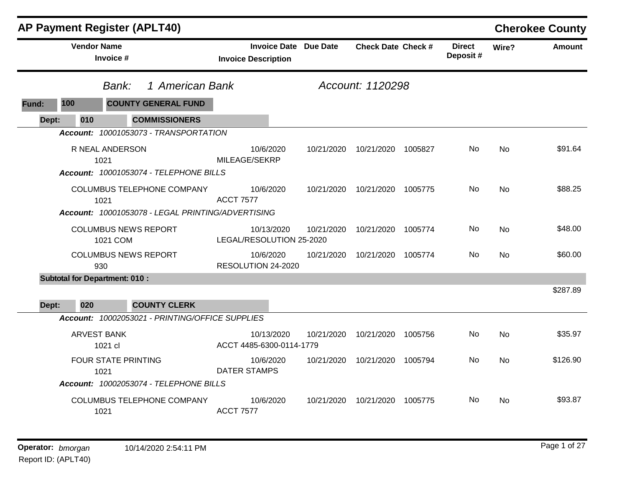|       |                    | <b>AP Payment Register (APLT40)</b>                                                                        |                                                            |                  |                           |         |                           |           | <b>Cherokee County</b> |
|-------|--------------------|------------------------------------------------------------------------------------------------------------|------------------------------------------------------------|------------------|---------------------------|---------|---------------------------|-----------|------------------------|
|       | <b>Vendor Name</b> | Invoice #                                                                                                  | <b>Invoice Date Due Date</b><br><b>Invoice Description</b> |                  | <b>Check Date Check #</b> |         | <b>Direct</b><br>Deposit# | Wire?     | <b>Amount</b>          |
|       |                    | 1 American Bank<br>Bank:                                                                                   |                                                            | Account: 1120298 |                           |         |                           |           |                        |
| Fund: | 100                | <b>COUNTY GENERAL FUND</b>                                                                                 |                                                            |                  |                           |         |                           |           |                        |
| Dept: | 010                | <b>COMMISSIONERS</b>                                                                                       |                                                            |                  |                           |         |                           |           |                        |
|       |                    | Account: 10001053073 - TRANSPORTATION<br>R NEAL ANDERSON<br>1021<br>Account: 10001053074 - TELEPHONE BILLS | 10/6/2020<br>MILEAGE/SEKRP                                 | 10/21/2020       | 10/21/2020                | 1005827 | No.                       | No        | \$91.64                |
|       |                    | <b>COLUMBUS TELEPHONE COMPANY</b><br>1021<br>Account: 10001053078 - LEGAL PRINTING/ADVERTISING             | 10/6/2020<br><b>ACCT 7577</b>                              | 10/21/2020       | 10/21/2020 1005775        |         | No.                       | No        | \$88.25                |
|       |                    | <b>COLUMBUS NEWS REPORT</b><br>1021 COM                                                                    | 10/13/2020<br>LEGAL/RESOLUTION 25-2020                     | 10/21/2020       | 10/21/2020                | 1005774 | No.                       | <b>No</b> | \$48.00                |
|       |                    | <b>COLUMBUS NEWS REPORT</b><br>930                                                                         | 10/6/2020<br>RESOLUTION 24-2020                            | 10/21/2020       | 10/21/2020                | 1005774 | No                        | No        | \$60.00                |
| Dept: | 020                | <b>Subtotal for Department: 010:</b><br><b>COUNTY CLERK</b>                                                |                                                            |                  |                           |         |                           |           | \$287.89               |
|       |                    | Account: 10002053021 - PRINTING/OFFICE SUPPLIES                                                            |                                                            |                  |                           |         |                           |           |                        |
|       |                    | <b>ARVEST BANK</b><br>1021 cl                                                                              | 10/13/2020<br>ACCT 4485-6300-0114-1779                     | 10/21/2020       | 10/21/2020                | 1005756 | No.                       | <b>No</b> | \$35.97                |
|       |                    | <b>FOUR STATE PRINTING</b><br>1021                                                                         | 10/6/2020<br><b>DATER STAMPS</b>                           | 10/21/2020       | 10/21/2020                | 1005794 | No                        | No        | \$126.90               |
|       |                    | Account: 10002053074 - TELEPHONE BILLS                                                                     |                                                            |                  |                           |         |                           |           |                        |
|       |                    | COLUMBUS TELEPHONE COMPANY<br>1021                                                                         | 10/6/2020<br><b>ACCT 7577</b>                              | 10/21/2020       | 10/21/2020 1005775        |         | No.                       | No.       | \$93.87                |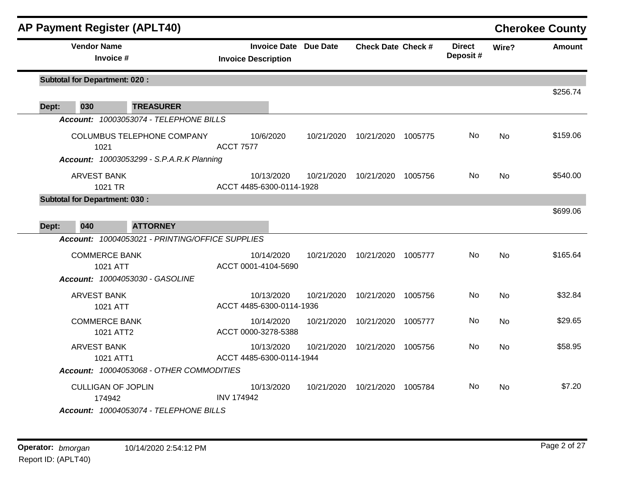|       | <b>AP Payment Register (APLT40)</b>                                       |                                                            |            |                           |         |                           |           | <b>Cherokee County</b> |
|-------|---------------------------------------------------------------------------|------------------------------------------------------------|------------|---------------------------|---------|---------------------------|-----------|------------------------|
|       | <b>Vendor Name</b><br>Invoice #                                           | <b>Invoice Date Due Date</b><br><b>Invoice Description</b> |            | <b>Check Date Check #</b> |         | <b>Direct</b><br>Deposit# | Wire?     | <b>Amount</b>          |
|       | <b>Subtotal for Department: 020:</b>                                      |                                                            |            |                           |         |                           |           | \$256.74               |
| Dept: | 030<br><b>TREASURER</b>                                                   |                                                            |            |                           |         |                           |           |                        |
|       | Account: 10003053074 - TELEPHONE BILLS                                    |                                                            |            |                           |         |                           |           |                        |
|       | COLUMBUS TELEPHONE COMPANY<br>1021                                        | 10/6/2020<br><b>ACCT 7577</b>                              | 10/21/2020 | 10/21/2020 1005775        |         | No.                       | No.       | \$159.06               |
|       | <b>Account: 10003053299 - S.P.A.R.K Planning</b>                          |                                                            |            |                           |         |                           |           |                        |
|       | <b>ARVEST BANK</b><br>1021 TR                                             | 10/13/2020<br>ACCT 4485-6300-0114-1928                     | 10/21/2020 | 10/21/2020                | 1005756 | No                        | <b>No</b> | \$540.00               |
|       | <b>Subtotal for Department: 030:</b>                                      |                                                            |            |                           |         |                           |           |                        |
|       |                                                                           |                                                            |            |                           |         |                           |           | \$699.06               |
| Dept: | 040<br><b>ATTORNEY</b><br>Account: 10004053021 - PRINTING/OFFICE SUPPLIES |                                                            |            |                           |         |                           |           |                        |
|       |                                                                           |                                                            |            |                           |         |                           |           |                        |
|       | <b>COMMERCE BANK</b><br>1021 ATT                                          | 10/14/2020<br>ACCT 0001-4104-5690                          | 10/21/2020 | 10/21/2020                | 1005777 | No                        | <b>No</b> | \$165.64               |
|       | Account: 10004053030 - GASOLINE                                           |                                                            |            |                           |         |                           |           |                        |
|       | <b>ARVEST BANK</b><br>1021 ATT                                            | 10/13/2020<br>ACCT 4485-6300-0114-1936                     | 10/21/2020 | 10/21/2020                | 1005756 | No                        | <b>No</b> | \$32.84                |
|       | <b>COMMERCE BANK</b><br>1021 ATT2                                         | 10/14/2020<br>ACCT 0000-3278-5388                          | 10/21/2020 | 10/21/2020                | 1005777 | No                        | <b>No</b> | \$29.65                |
|       | <b>ARVEST BANK</b>                                                        | 10/13/2020                                                 | 10/21/2020 | 10/21/2020 1005756        |         | No                        | No        | \$58.95                |
|       | 1021 ATT1                                                                 | ACCT 4485-6300-0114-1944                                   |            |                           |         |                           |           |                        |
|       | Account: 10004053068 - OTHER COMMODITIES                                  |                                                            |            |                           |         |                           |           |                        |
|       | <b>CULLIGAN OF JOPLIN</b><br>174942                                       | 10/13/2020<br><b>INV 174942</b>                            | 10/21/2020 | 10/21/2020 1005784        |         | No                        | No        | \$7.20                 |
|       | Account: 10004053074 - TELEPHONE BILLS                                    |                                                            |            |                           |         |                           |           |                        |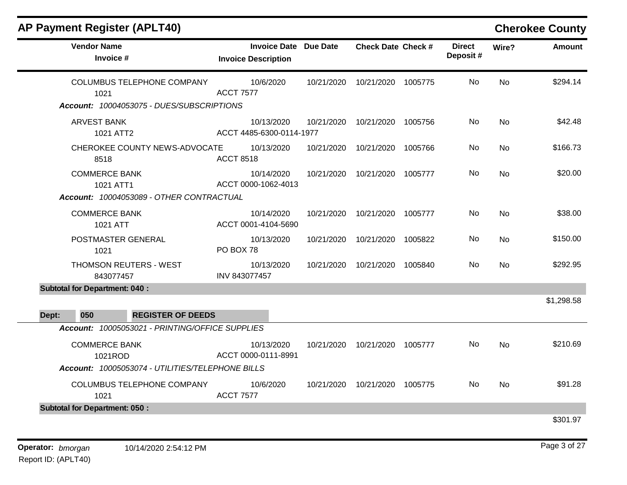| <b>AP Payment Register (APLT40)</b>              |                                                            |            |                           |         |                           |           | <b>Cherokee County</b> |
|--------------------------------------------------|------------------------------------------------------------|------------|---------------------------|---------|---------------------------|-----------|------------------------|
| <b>Vendor Name</b><br>Invoice #                  | <b>Invoice Date Due Date</b><br><b>Invoice Description</b> |            | <b>Check Date Check #</b> |         | <b>Direct</b><br>Deposit# | Wire?     | <b>Amount</b>          |
| <b>COLUMBUS TELEPHONE COMPANY</b><br>1021        | 10/6/2020<br><b>ACCT 7577</b>                              | 10/21/2020 | 10/21/2020                | 1005775 | No.                       | <b>No</b> | \$294.14               |
| Account: 10004053075 - DUES/SUBSCRIPTIONS        |                                                            |            |                           |         |                           |           |                        |
| <b>ARVEST BANK</b><br>1021 ATT2                  | 10/13/2020<br>ACCT 4485-6300-0114-1977                     | 10/21/2020 | 10/21/2020                | 1005756 | No                        | <b>No</b> | \$42.48                |
| CHEROKEE COUNTY NEWS-ADVOCATE<br>8518            | 10/13/2020<br><b>ACCT 8518</b>                             | 10/21/2020 | 10/21/2020                | 1005766 | No                        | <b>No</b> | \$166.73               |
| <b>COMMERCE BANK</b><br>1021 ATT1                | 10/14/2020<br>ACCT 0000-1062-4013                          | 10/21/2020 | 10/21/2020 1005777        |         | No                        | <b>No</b> | \$20.00                |
| Account: 10004053089 - OTHER CONTRACTUAL         |                                                            |            |                           |         |                           |           |                        |
| <b>COMMERCE BANK</b><br>1021 ATT                 | 10/14/2020<br>ACCT 0001-4104-5690                          | 10/21/2020 | 10/21/2020                | 1005777 | No                        | <b>No</b> | \$38.00                |
| POSTMASTER GENERAL<br>1021                       | 10/13/2020<br>PO BOX 78                                    | 10/21/2020 | 10/21/2020                | 1005822 | No                        | <b>No</b> | \$150.00               |
| THOMSON REUTERS - WEST<br>843077457              | 10/13/2020<br>INV 843077457                                | 10/21/2020 | 10/21/2020                | 1005840 | No                        | No.       | \$292.95               |
| <b>Subtotal for Department: 040:</b>             |                                                            |            |                           |         |                           |           |                        |
| 050<br><b>REGISTER OF DEEDS</b><br>Dept:         |                                                            |            |                           |         |                           |           | \$1,298.58             |
| Account: 10005053021 - PRINTING/OFFICE SUPPLIES  |                                                            |            |                           |         |                           |           |                        |
| <b>COMMERCE BANK</b><br>1021ROD                  | 10/13/2020<br>ACCT 0000-0111-8991                          | 10/21/2020 | 10/21/2020 1005777        |         | No                        | <b>No</b> | \$210.69               |
| Account: 10005053074 - UTILITIES/TELEPHONE BILLS |                                                            |            |                           |         |                           |           |                        |
| COLUMBUS TELEPHONE COMPANY<br>1021               | 10/6/2020<br><b>ACCT 7577</b>                              | 10/21/2020 | 10/21/2020                | 1005775 | No                        | <b>No</b> | \$91.28                |
| <b>Subtotal for Department: 050:</b>             |                                                            |            |                           |         |                           |           |                        |
|                                                  |                                                            |            |                           |         |                           |           | \$301.97               |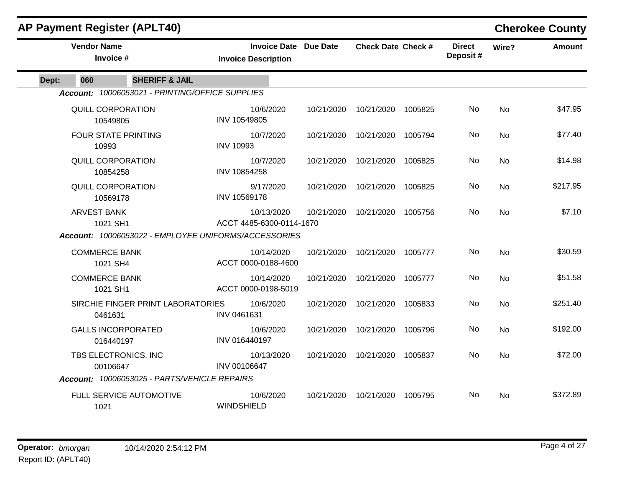|       |                                      | <b>AP Payment Register (APLT40)</b>             |                                                                                                |            |                           |         |                           |           | <b>Cherokee County</b> |
|-------|--------------------------------------|-------------------------------------------------|------------------------------------------------------------------------------------------------|------------|---------------------------|---------|---------------------------|-----------|------------------------|
|       | <b>Vendor Name</b><br>Invoice #      |                                                 | <b>Invoice Date Due Date</b><br><b>Invoice Description</b>                                     |            | <b>Check Date Check #</b> |         | <b>Direct</b><br>Deposit# | Wire?     | <b>Amount</b>          |
| Dept: | 060                                  | <b>SHERIFF &amp; JAIL</b>                       |                                                                                                |            |                           |         |                           |           |                        |
|       |                                      | Account: 10006053021 - PRINTING/OFFICE SUPPLIES |                                                                                                |            |                           |         |                           |           |                        |
|       | QUILL CORPORATION<br>10549805        |                                                 | 10/6/2020<br>INV 10549805                                                                      | 10/21/2020 | 10/21/2020                | 1005825 | No                        | No        | \$47.95                |
|       | 10993                                | <b>FOUR STATE PRINTING</b>                      | 10/7/2020<br><b>INV 10993</b>                                                                  | 10/21/2020 | 10/21/2020                | 1005794 | No.                       | <b>No</b> | \$77.40                |
|       | QUILL CORPORATION<br>10854258        |                                                 | 10/7/2020<br>INV 10854258                                                                      | 10/21/2020 | 10/21/2020                | 1005825 | No                        | <b>No</b> | \$14.98                |
|       | <b>QUILL CORPORATION</b><br>10569178 |                                                 | 9/17/2020<br>INV 10569178                                                                      | 10/21/2020 | 10/21/2020                | 1005825 | No                        | <b>No</b> | \$217.95               |
|       | <b>ARVEST BANK</b><br>1021 SH1       |                                                 | 10/13/2020<br>ACCT 4485-6300-0114-1670<br>Account: 10006053022 - EMPLOYEE UNIFORMS/ACCESSORIES | 10/21/2020 | 10/21/2020                | 1005756 | No                        | <b>No</b> | \$7.10                 |
|       |                                      |                                                 |                                                                                                |            |                           |         |                           |           |                        |
|       | <b>COMMERCE BANK</b><br>1021 SH4     |                                                 | 10/14/2020<br>ACCT 0000-0188-4600                                                              | 10/21/2020 | 10/21/2020                | 1005777 | No                        | No        | \$30.59                |
|       | <b>COMMERCE BANK</b><br>1021 SH1     |                                                 | 10/14/2020<br>ACCT 0000-0198-5019                                                              | 10/21/2020 | 10/21/2020                | 1005777 | No.                       | <b>No</b> | \$51.58                |
|       | 0461631                              | SIRCHIE FINGER PRINT LABORATORIES               | 10/6/2020<br>INV 0461631                                                                       | 10/21/2020 | 10/21/2020                | 1005833 | No                        | <b>No</b> | \$251.40               |
|       | 016440197                            | <b>GALLS INCORPORATED</b>                       | 10/6/2020<br>INV 016440197                                                                     | 10/21/2020 | 10/21/2020                | 1005796 | No                        | <b>No</b> | \$192.00               |
|       | 00106647                             | TBS ELECTRONICS, INC                            | 10/13/2020<br>INV 00106647                                                                     | 10/21/2020 | 10/21/2020                | 1005837 | No                        | <b>No</b> | \$72.00                |
|       |                                      | Account: 10006053025 - PARTS/VEHICLE REPAIRS    |                                                                                                |            |                           |         |                           |           |                        |
|       | 1021                                 | FULL SERVICE AUTOMOTIVE                         | 10/6/2020<br>WINDSHIELD                                                                        | 10/21/2020 | 10/21/2020                | 1005795 | No.                       | No.       | \$372.89               |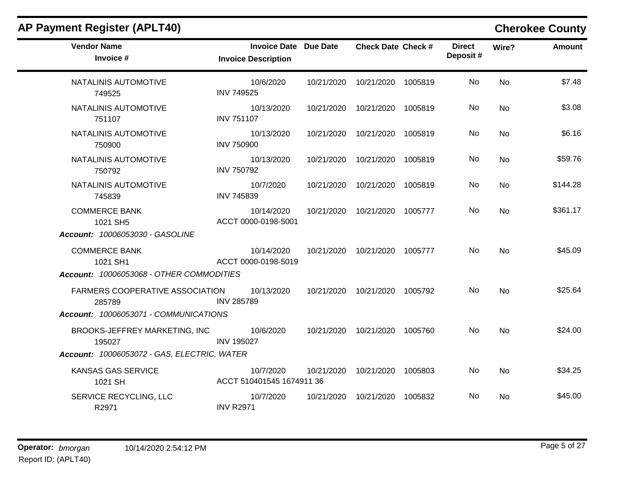| <b>AP Payment Register (APLT40)</b>              |                                                     |            |                                 |         |                           |           | <b>Cherokee County</b> |
|--------------------------------------------------|-----------------------------------------------------|------------|---------------------------------|---------|---------------------------|-----------|------------------------|
| <b>Vendor Name</b><br>Invoice #                  | Invoice Date Due Date<br><b>Invoice Description</b> |            | <b>Check Date Check #</b>       |         | <b>Direct</b><br>Deposit# | Wire?     | <b>Amount</b>          |
| NATALINIS AUTOMOTIVE<br>749525                   | 10/6/2020<br><b>INV 749525</b>                      |            | 10/21/2020  10/21/2020  1005819 |         | No.                       | No        | \$7.48                 |
| NATALINIS AUTOMOTIVE<br>751107                   | 10/13/2020<br><b>INV 751107</b>                     |            | 10/21/2020  10/21/2020  1005819 |         | No.                       | No        | \$3.08                 |
| NATALINIS AUTOMOTIVE<br>750900                   | 10/13/2020<br><b>INV 750900</b>                     |            | 10/21/2020  10/21/2020  1005819 |         | No.                       | <b>No</b> | \$6.16                 |
| NATALINIS AUTOMOTIVE<br>750792                   | 10/13/2020<br><b>INV 750792</b>                     |            | 10/21/2020  10/21/2020  1005819 |         | No.                       | No        | \$59.76                |
| NATALINIS AUTOMOTIVE<br>745839                   | 10/7/2020<br>INV 745839                             |            | 10/21/2020  10/21/2020  1005819 |         | No.                       | No        | \$144.28               |
| <b>COMMERCE BANK</b><br>1021 SH5                 | 10/14/2020<br>ACCT 0000-0198-5001                   | 10/21/2020 | 10/21/2020                      | 1005777 | No                        | <b>No</b> | \$361.17               |
| Account: 10006053030 - GASOLINE                  |                                                     |            |                                 |         |                           |           |                        |
| <b>COMMERCE BANK</b><br>1021 SH1                 | 10/14/2020<br>ACCT 0000-0198-5019                   |            | 10/21/2020  10/21/2020  1005777 |         | No.                       | No        | \$45.09                |
| Account: 10006053068 - OTHER COMMODITIES         |                                                     |            |                                 |         |                           |           |                        |
| <b>FARMERS COOPERATIVE ASSOCIATION</b><br>285789 | 10/13/2020<br><b>INV 285789</b>                     |            | 10/21/2020  10/21/2020  1005792 |         | No                        | <b>No</b> | \$25.64                |
| Account: 10006053071 - COMMUNICATIONS            |                                                     |            |                                 |         |                           |           |                        |
| BROOKS-JEFFREY MARKETING, INC<br>195027          | 10/6/2020<br><b>INV 195027</b>                      |            | 10/21/2020  10/21/2020  1005760 |         | No.                       | No        | \$24.00                |
| Account: 10006053072 - GAS, ELECTRIC, WATER      |                                                     |            |                                 |         |                           |           |                        |
| KANSAS GAS SERVICE<br>1021 SH                    | 10/7/2020<br>ACCT 510401545 1674911 36              | 10/21/2020 | 10/21/2020                      | 1005803 | No.                       | No        | \$34.25                |
| SERVICE RECYCLING, LLC<br>R2971                  | 10/7/2020<br><b>INV R2971</b>                       |            | 10/21/2020  10/21/2020  1005832 |         | No.                       | No        | \$45.00                |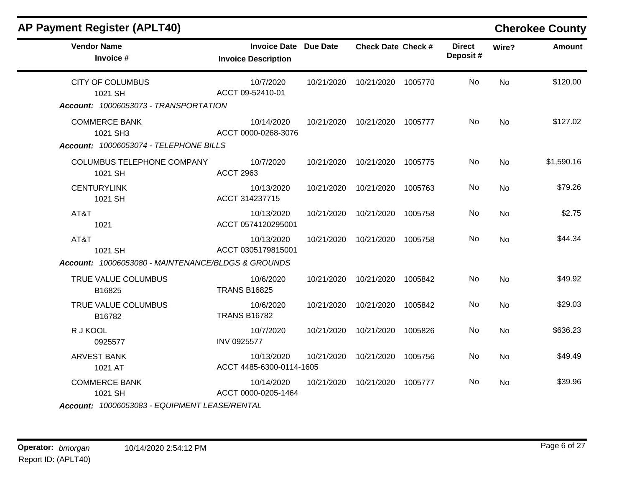| <b>AP Payment Register (APLT40)</b>                                         |                                                            |            |                                 |         |                           |           | <b>Cherokee County</b> |
|-----------------------------------------------------------------------------|------------------------------------------------------------|------------|---------------------------------|---------|---------------------------|-----------|------------------------|
| <b>Vendor Name</b><br>Invoice #                                             | <b>Invoice Date Due Date</b><br><b>Invoice Description</b> |            | <b>Check Date Check #</b>       |         | <b>Direct</b><br>Deposit# | Wire?     | <b>Amount</b>          |
| <b>CITY OF COLUMBUS</b><br>1021 SH<br>Account: 10006053073 - TRANSPORTATION | 10/7/2020<br>ACCT 09-52410-01                              |            | 10/21/2020  10/21/2020  1005770 |         | No.                       | <b>No</b> | \$120.00               |
| <b>COMMERCE BANK</b><br>1021 SH3<br>Account: 10006053074 - TELEPHONE BILLS  | 10/14/2020<br>ACCT 0000-0268-3076                          |            | 10/21/2020  10/21/2020  1005777 |         | No.                       | No        | \$127.02               |
| COLUMBUS TELEPHONE COMPANY<br>1021 SH                                       | 10/7/2020<br><b>ACCT 2963</b>                              |            | 10/21/2020  10/21/2020  1005775 |         | No.                       | <b>No</b> | \$1,590.16             |
| <b>CENTURYLINK</b><br>1021 SH                                               | 10/13/2020<br>ACCT 314237715                               |            | 10/21/2020  10/21/2020  1005763 |         | No                        | No        | \$79.26                |
| AT&T<br>1021                                                                | 10/13/2020<br>ACCT 0574120295001                           |            | 10/21/2020  10/21/2020  1005758 |         | No                        | No        | \$2.75                 |
| AT&T<br>1021 SH                                                             | 10/13/2020<br>ACCT 0305179815001                           | 10/21/2020 | 10/21/2020 1005758              |         | No.                       | <b>No</b> | \$44.34                |
| Account: 10006053080 - MAINTENANCE/BLDGS & GROUNDS                          |                                                            |            |                                 |         |                           |           |                        |
| TRUE VALUE COLUMBUS<br>B16825                                               | 10/6/2020<br><b>TRANS B16825</b>                           |            | 10/21/2020  10/21/2020          | 1005842 | No                        | No        | \$49.92                |
| TRUE VALUE COLUMBUS<br>B16782                                               | 10/6/2020<br><b>TRANS B16782</b>                           | 10/21/2020 | 10/21/2020                      | 1005842 | No                        | <b>No</b> | \$29.03                |
| R J KOOL<br>0925577                                                         | 10/7/2020<br>INV 0925577                                   | 10/21/2020 | 10/21/2020                      | 1005826 | No                        | <b>No</b> | \$636.23               |
| <b>ARVEST BANK</b><br>1021 AT                                               | 10/13/2020<br>ACCT 4485-6300-0114-1605                     | 10/21/2020 | 10/21/2020                      | 1005756 | No                        | No        | \$49.49                |
| <b>COMMERCE BANK</b><br>1021 SH                                             | 10/14/2020<br>ACCT 0000-0205-1464                          | 10/21/2020 | 10/21/2020                      | 1005777 | No                        | <b>No</b> | \$39.96                |

## *Account: 10006053083 - EQUIPMENT LEASE/RENTAL*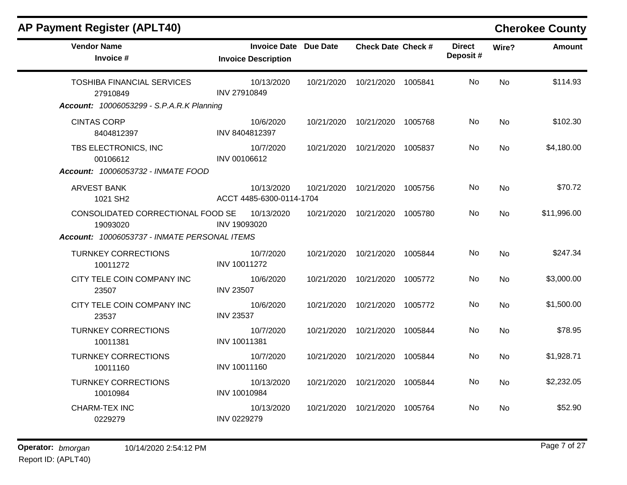| <b>Vendor Name</b><br>Invoice #                  | <b>Invoice Date Due Date</b><br><b>Invoice Description</b> |            | <b>Check Date Check #</b> |         | <b>Direct</b><br>Deposit# | Wire?     | <b>Amount</b> |
|--------------------------------------------------|------------------------------------------------------------|------------|---------------------------|---------|---------------------------|-----------|---------------|
| <b>TOSHIBA FINANCIAL SERVICES</b><br>27910849    | 10/13/2020<br><b>INV 27910849</b>                          | 10/21/2020 | 10/21/2020                | 1005841 | <b>No</b>                 | <b>No</b> | \$114.93      |
| <b>Account: 10006053299 - S.P.A.R.K Planning</b> |                                                            |            |                           |         |                           |           |               |
| <b>CINTAS CORP</b><br>8404812397                 | 10/6/2020<br>INV 8404812397                                | 10/21/2020 | 10/21/2020                | 1005768 | No                        | <b>No</b> | \$102.30      |
| TBS ELECTRONICS, INC<br>00106612                 | 10/7/2020<br>INV 00106612                                  | 10/21/2020 | 10/21/2020                | 1005837 | No                        | <b>No</b> | \$4,180.00    |
| Account: 10006053732 - INMATE FOOD               |                                                            |            |                           |         |                           |           |               |
| <b>ARVEST BANK</b><br>1021 SH2                   | 10/13/2020<br>ACCT 4485-6300-0114-1704                     | 10/21/2020 | 10/21/2020 1005756        |         | No                        | <b>No</b> | \$70.72       |
| CONSOLIDATED CORRECTIONAL FOOD SE<br>19093020    | 10/13/2020<br>INV 19093020                                 | 10/21/2020 | 10/21/2020                | 1005780 | No                        | No        | \$11,996.00   |
| Account: 10006053737 - INMATE PERSONAL ITEMS     |                                                            |            |                           |         |                           |           |               |
| <b>TURNKEY CORRECTIONS</b><br>10011272           | 10/7/2020<br>INV 10011272                                  | 10/21/2020 | 10/21/2020                | 1005844 | No.                       | <b>No</b> | \$247.34      |
| CITY TELE COIN COMPANY INC<br>23507              | 10/6/2020<br><b>INV 23507</b>                              | 10/21/2020 | 10/21/2020                | 1005772 | No.                       | <b>No</b> | \$3,000.00    |
| CITY TELE COIN COMPANY INC<br>23537              | 10/6/2020<br><b>INV 23537</b>                              | 10/21/2020 | 10/21/2020                | 1005772 | No                        | <b>No</b> | \$1,500.00    |
| <b>TURNKEY CORRECTIONS</b><br>10011381           | 10/7/2020<br>INV 10011381                                  | 10/21/2020 | 10/21/2020                | 1005844 | No                        | <b>No</b> | \$78.95       |
| <b>TURNKEY CORRECTIONS</b><br>10011160           | 10/7/2020<br>INV 10011160                                  | 10/21/2020 | 10/21/2020                | 1005844 | No                        | No        | \$1,928.71    |
| <b>TURNKEY CORRECTIONS</b><br>10010984           | 10/13/2020<br>INV 10010984                                 | 10/21/2020 | 10/21/2020                | 1005844 | No.                       | No        | \$2,232.05    |
| <b>CHARM-TEX INC</b><br>0229279                  | 10/13/2020<br>INV 0229279                                  | 10/21/2020 | 10/21/2020                | 1005764 | No.                       | No        | \$52.90       |

**AP Payment Register (APLT40) Cherokee County**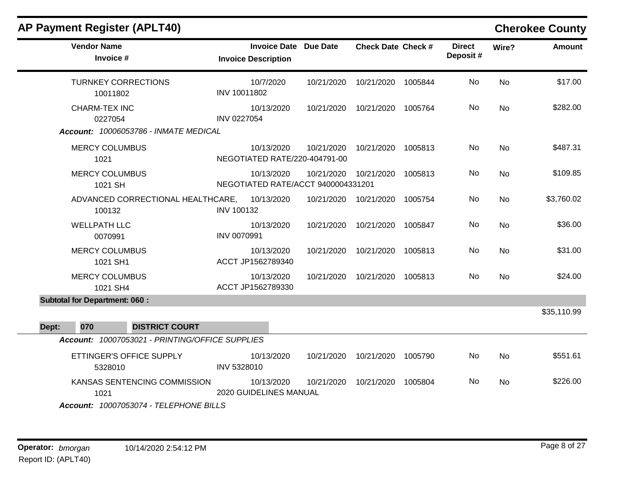| <b>AP Payment Register (APLT40)</b>                                            |                                                            |            |                           |         |                           |           | <b>Cherokee County</b> |
|--------------------------------------------------------------------------------|------------------------------------------------------------|------------|---------------------------|---------|---------------------------|-----------|------------------------|
| <b>Vendor Name</b><br>Invoice #                                                | <b>Invoice Date Due Date</b><br><b>Invoice Description</b> |            | <b>Check Date Check #</b> |         | <b>Direct</b><br>Deposit# | Wire?     | <b>Amount</b>          |
| <b>TURNKEY CORRECTIONS</b><br>10011802                                         | 10/7/2020<br>INV 10011802                                  | 10/21/2020 | 10/21/2020 1005844        |         | No                        | <b>No</b> | \$17.00                |
| CHARM-TEX INC<br>0227054<br>Account: 10006053786 - INMATE MEDICAL              | 10/13/2020<br><b>INV 0227054</b>                           | 10/21/2020 | 10/21/2020                | 1005764 | No                        | <b>No</b> | \$282.00               |
| <b>MERCY COLUMBUS</b><br>1021                                                  | 10/13/2020<br>NEGOTIATED RATE/220-404791-00                | 10/21/2020 | 10/21/2020 1005813        |         | No                        | No        | \$487.31               |
| <b>MERCY COLUMBUS</b><br>1021 SH                                               | 10/13/2020<br>NEGOTIATED RATE/ACCT 9400004331201           | 10/21/2020 | 10/21/2020                | 1005813 | No                        | <b>No</b> | \$109.85               |
| ADVANCED CORRECTIONAL HEALTHCARE,<br>100132                                    | 10/13/2020<br><b>INV 100132</b>                            | 10/21/2020 | 10/21/2020 1005754        |         | <b>No</b>                 | <b>No</b> | \$3,760.02             |
| <b>WELLPATH LLC</b><br>0070991                                                 | 10/13/2020<br>INV 0070991                                  | 10/21/2020 | 10/21/2020                | 1005847 | No                        | <b>No</b> | \$36.00                |
| <b>MERCY COLUMBUS</b><br>1021 SH1                                              | 10/13/2020<br>ACCT JP1562789340                            | 10/21/2020 | 10/21/2020                | 1005813 | No                        | <b>No</b> | \$31.00                |
| <b>MERCY COLUMBUS</b><br>1021 SH4                                              | 10/13/2020<br>ACCT JP1562789330                            | 10/21/2020 | 10/21/2020                | 1005813 | <b>No</b>                 | <b>No</b> | \$24.00                |
| <b>Subtotal for Department: 060:</b>                                           |                                                            |            |                           |         |                           |           |                        |
| 070<br>Dept:<br><b>DISTRICT COURT</b>                                          |                                                            |            |                           |         |                           |           | \$35,110.99            |
| Account: 10007053021 - PRINTING/OFFICE SUPPLIES                                |                                                            |            |                           |         |                           |           |                        |
| ETTINGER'S OFFICE SUPPLY<br>5328010                                            | 10/13/2020<br>INV 5328010                                  | 10/21/2020 | 10/21/2020                | 1005790 | No                        | <b>No</b> | \$551.61               |
| KANSAS SENTENCING COMMISSION<br>1021<br>Account: 10007053074 - TELEPHONE BILLS | 10/13/2020<br>2020 GUIDELINES MANUAL                       | 10/21/2020 | 10/21/2020 1005804        |         | No                        | <b>No</b> | \$226.00               |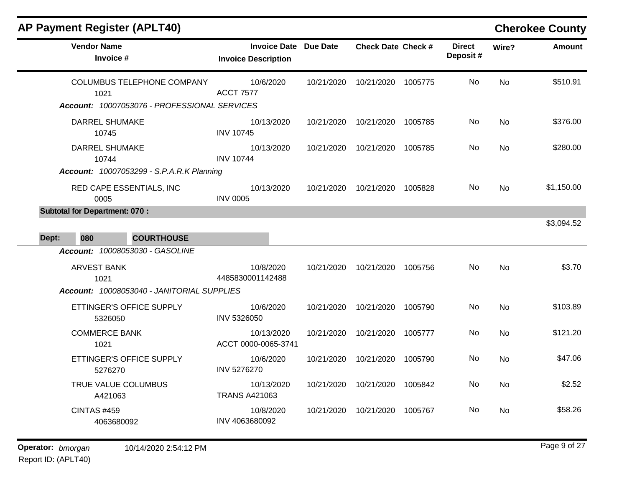|                                    |                                                                                                                                         |                              |         |                                                 |           | <b>Cherokee County</b> |
|------------------------------------|-----------------------------------------------------------------------------------------------------------------------------------------|------------------------------|---------|-------------------------------------------------|-----------|------------------------|
| <b>Invoice Description</b>         |                                                                                                                                         |                              |         | <b>Direct</b><br>Deposit#                       | Wire?     | <b>Amount</b>          |
| 10/6/2020<br><b>ACCT 7577</b>      | 10/21/2020                                                                                                                              | 10/21/2020                   | 1005775 | No                                              | <b>No</b> | \$510.91               |
| 10/13/2020<br><b>INV 10745</b>     | 10/21/2020                                                                                                                              | 10/21/2020                   |         | No                                              | <b>No</b> | \$376.00               |
| 10/13/2020<br><b>INV 10744</b>     | 10/21/2020                                                                                                                              | 10/21/2020                   | 1005785 | No.                                             | <b>No</b> | \$280.00               |
| 10/13/2020<br><b>INV 0005</b>      | 10/21/2020                                                                                                                              | 10/21/2020                   | 1005828 | No.                                             | <b>No</b> | \$1,150.00             |
|                                    |                                                                                                                                         |                              |         |                                                 |           | \$3,094.52             |
| 10/8/2020<br>4485830001142488      | 10/21/2020                                                                                                                              | 10/21/2020                   |         | No                                              | <b>No</b> | \$3.70                 |
| 10/6/2020<br><b>INV 5326050</b>    | 10/21/2020                                                                                                                              | 10/21/2020                   | 1005790 | No.                                             | No        | \$103.89               |
| 10/13/2020<br>ACCT 0000-0065-3741  | 10/21/2020                                                                                                                              | 10/21/2020                   | 1005777 | No.                                             | No        | \$121.20               |
| 10/6/2020<br><b>INV 5276270</b>    | 10/21/2020                                                                                                                              | 10/21/2020                   | 1005790 | No.                                             | No        | \$47.06                |
| 10/13/2020<br><b>TRANS A421063</b> | 10/21/2020                                                                                                                              | 10/21/2020                   | 1005842 | No                                              | No        | \$2.52                 |
| 10/8/2020<br>INV 4063680092        | 10/21/2020                                                                                                                              | 10/21/2020                   | 1005767 | No.                                             | No        | \$58.26                |
|                                    | Account: 10007053076 - PROFESSIONAL SERVICES<br>Account: 10007053299 - S.P.A.R.K Planning<br>Account: 10008053040 - JANITORIAL SUPPLIES | <b>Invoice Date Due Date</b> |         | <b>Check Date Check #</b><br>1005785<br>1005756 |           |                        |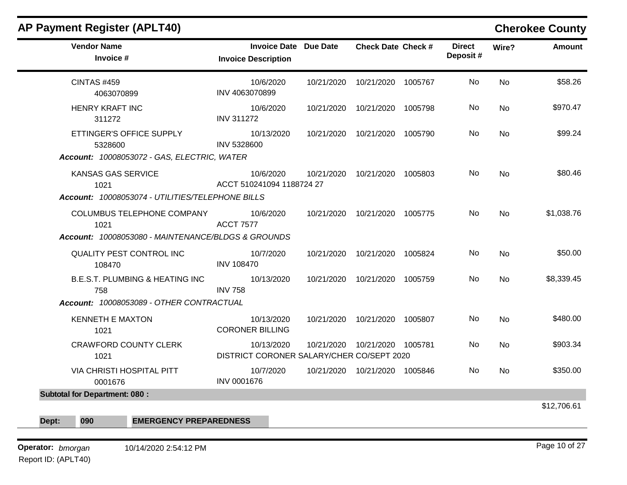| ETTINGER'S OFFICE SUPPLY<br>Account: 10008053072 - GAS, ELECTRIC, WATER<br>Account: 10008053074 - UTILITIES/TELEPHONE BILLS | <b>Invoice Date Due Date</b><br><b>Invoice Description</b><br>10/6/2020<br>INV 4063070899<br>10/6/2020<br><b>INV 311272</b><br>10/13/2020<br>INV 5328600<br>10/6/2020<br>ACCT 510241094 1188724 27 |                                                                                                            | <b>Check Date Check #</b><br>10/21/2020  10/21/2020  1005767<br>10/21/2020  10/21/2020  1005798<br>10/21/2020  10/21/2020  1005790<br>10/21/2020  10/21/2020  1005803 | <b>Direct</b><br>Deposit#<br>No.<br>No.<br>No.<br>No.                                                                                                                                 | Wire?<br><b>No</b><br>No<br><b>No</b><br><b>No</b> | <b>Amount</b> |
|-----------------------------------------------------------------------------------------------------------------------------|----------------------------------------------------------------------------------------------------------------------------------------------------------------------------------------------------|------------------------------------------------------------------------------------------------------------|-----------------------------------------------------------------------------------------------------------------------------------------------------------------------|---------------------------------------------------------------------------------------------------------------------------------------------------------------------------------------|----------------------------------------------------|---------------|
|                                                                                                                             |                                                                                                                                                                                                    |                                                                                                            |                                                                                                                                                                       |                                                                                                                                                                                       |                                                    | \$58.26       |
|                                                                                                                             |                                                                                                                                                                                                    |                                                                                                            |                                                                                                                                                                       |                                                                                                                                                                                       |                                                    | \$970.47      |
|                                                                                                                             |                                                                                                                                                                                                    |                                                                                                            |                                                                                                                                                                       |                                                                                                                                                                                       |                                                    | \$99.24       |
|                                                                                                                             |                                                                                                                                                                                                    |                                                                                                            |                                                                                                                                                                       |                                                                                                                                                                                       |                                                    | \$80.46       |
|                                                                                                                             |                                                                                                                                                                                                    |                                                                                                            |                                                                                                                                                                       |                                                                                                                                                                                       |                                                    |               |
| <b>COLUMBUS TELEPHONE COMPANY</b><br>Account: 10008053080 - MAINTENANCE/BLDGS & GROUNDS                                     | 10/6/2020<br><b>ACCT 7577</b>                                                                                                                                                                      |                                                                                                            | 10/21/2020  10/21/2020  1005775                                                                                                                                       | No.                                                                                                                                                                                   | No                                                 | \$1,038.76    |
| QUALITY PEST CONTROL INC                                                                                                    | 10/7/2020<br><b>INV 108470</b>                                                                                                                                                                     |                                                                                                            | 10/21/2020  10/21/2020  1005824                                                                                                                                       | No.                                                                                                                                                                                   | <b>No</b>                                          | \$50.00       |
| <b>B.E.S.T. PLUMBING &amp; HEATING INC</b>                                                                                  | 10/13/2020                                                                                                                                                                                         |                                                                                                            |                                                                                                                                                                       | No                                                                                                                                                                                    | No                                                 | \$8,339.45    |
|                                                                                                                             | 10/13/2020                                                                                                                                                                                         |                                                                                                            |                                                                                                                                                                       | No                                                                                                                                                                                    | <b>No</b>                                          | \$480.00      |
| <b>CRAWFORD COUNTY CLERK</b>                                                                                                | 10/13/2020                                                                                                                                                                                         |                                                                                                            |                                                                                                                                                                       | No.                                                                                                                                                                                   | No                                                 | \$903.34      |
| VIA CHRISTI HOSPITAL PITT                                                                                                   | 10/7/2020                                                                                                                                                                                          |                                                                                                            |                                                                                                                                                                       | No.                                                                                                                                                                                   | No                                                 | \$350.00      |
|                                                                                                                             |                                                                                                                                                                                                    |                                                                                                            |                                                                                                                                                                       |                                                                                                                                                                                       |                                                    |               |
|                                                                                                                             |                                                                                                                                                                                                    | <b>INV 758</b><br>Account: 10008053089 - OTHER CONTRACTUAL<br><b>CORONER BILLING</b><br><b>INV 0001676</b> |                                                                                                                                                                       | 10/21/2020  10/21/2020  1005759<br>10/21/2020  10/21/2020  1005807<br>10/21/2020  10/21/2020  1005781<br>DISTRICT CORONER SALARY/CHER CO/SEPT 2020<br>10/21/2020  10/21/2020  1005846 | <b>EMERGENCY PREPAREDNESS</b>                      |               |

## **Operator:** bmorgan 10/14/2020 2:54:12 PM

Report ID: (APLT40)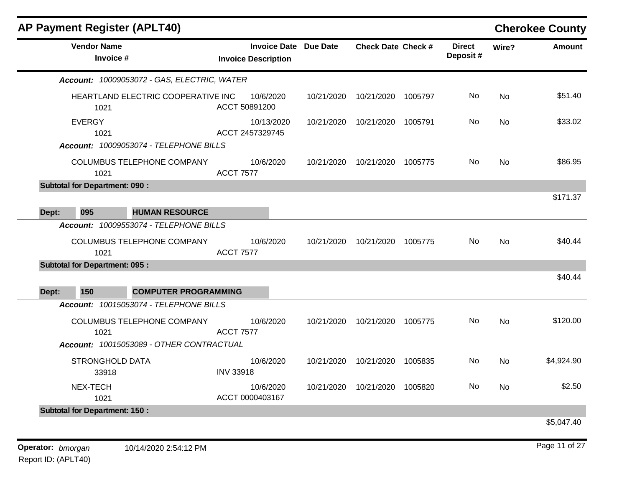|       | <b>AP Payment Register (APLT40)</b>  |                                                                                                                  |                            |            |                              |                           |         |                           |           | <b>Cherokee County</b> |
|-------|--------------------------------------|------------------------------------------------------------------------------------------------------------------|----------------------------|------------|------------------------------|---------------------------|---------|---------------------------|-----------|------------------------|
|       | <b>Vendor Name</b><br>Invoice #      |                                                                                                                  | <b>Invoice Description</b> |            | <b>Invoice Date Due Date</b> | <b>Check Date Check #</b> |         | <b>Direct</b><br>Deposit# | Wire?     | <b>Amount</b>          |
|       |                                      | Account: 10009053072 - GAS, ELECTRIC, WATER                                                                      |                            |            |                              |                           |         |                           |           |                        |
|       | 1021                                 | HEARTLAND ELECTRIC COOPERATIVE INC                                                                               | ACCT 50891200              | 10/6/2020  | 10/21/2020                   | 10/21/2020                | 1005797 | No                        | <b>No</b> | \$51.40                |
|       | <b>EVERGY</b><br>1021                |                                                                                                                  | ACCT 2457329745            | 10/13/2020 | 10/21/2020                   | 10/21/2020 1005791        |         | No.                       | No        | \$33.02                |
|       | 1021                                 | Account: 10009053074 - TELEPHONE BILLS<br><b>COLUMBUS TELEPHONE COMPANY</b>                                      | <b>ACCT 7577</b>           | 10/6/2020  | 10/21/2020                   | 10/21/2020                | 1005775 | No.                       | <b>No</b> | \$86.95                |
|       | <b>Subtotal for Department: 090:</b> |                                                                                                                  |                            |            |                              |                           |         |                           |           |                        |
| Dept: | 095                                  | <b>HUMAN RESOURCE</b>                                                                                            |                            |            |                              |                           |         |                           |           | \$171.37               |
|       | 1021                                 | Account: 10009553074 - TELEPHONE BILLS<br>COLUMBUS TELEPHONE COMPANY                                             | <b>ACCT 7577</b>           | 10/6/2020  | 10/21/2020                   | 10/21/2020 1005775        |         | No.                       | <b>No</b> | \$40.44                |
|       | <b>Subtotal for Department: 095:</b> |                                                                                                                  |                            |            |                              |                           |         |                           |           | \$40.44                |
| Dept: | 150                                  | <b>COMPUTER PROGRAMMING</b>                                                                                      |                            |            |                              |                           |         |                           |           |                        |
|       | 1021                                 | Account: 10015053074 - TELEPHONE BILLS<br>COLUMBUS TELEPHONE COMPANY<br>Account: 10015053089 - OTHER CONTRACTUAL | <b>ACCT 7577</b>           | 10/6/2020  | 10/21/2020                   | 10/21/2020                | 1005775 | No                        | <b>No</b> | \$120.00               |
|       | STRONGHOLD DATA<br>33918             |                                                                                                                  | <b>INV 33918</b>           | 10/6/2020  | 10/21/2020                   | 10/21/2020                | 1005835 | No.                       | No        | \$4,924.90             |
|       | NEX-TECH<br>1021                     |                                                                                                                  | ACCT 0000403167            | 10/6/2020  | 10/21/2020                   | 10/21/2020                | 1005820 | No                        | <b>No</b> | \$2.50                 |
|       | <b>Subtotal for Department: 150:</b> |                                                                                                                  |                            |            |                              |                           |         |                           |           |                        |
|       |                                      |                                                                                                                  |                            |            |                              |                           |         |                           |           | \$5,047.40             |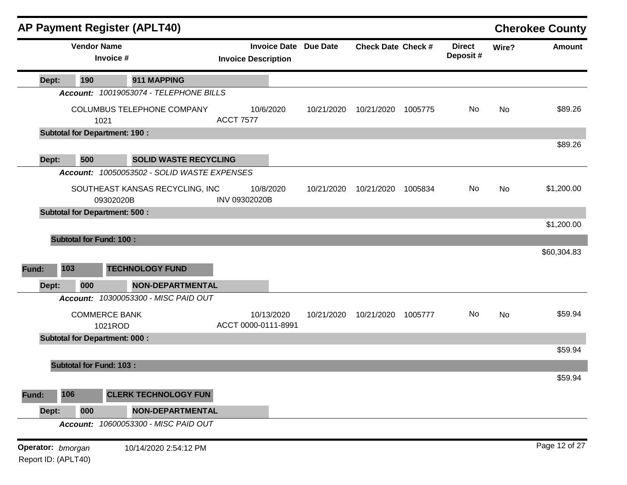|                                          |                                      |                                 | <b>AP Payment Register (APLT40)</b>         |                  |                                                            |            |                           |         |                           |           | <b>Cherokee County</b> |
|------------------------------------------|--------------------------------------|---------------------------------|---------------------------------------------|------------------|------------------------------------------------------------|------------|---------------------------|---------|---------------------------|-----------|------------------------|
|                                          |                                      | <b>Vendor Name</b><br>Invoice # |                                             |                  | <b>Invoice Date Due Date</b><br><b>Invoice Description</b> |            | <b>Check Date Check #</b> |         | <b>Direct</b><br>Deposit# | Wire?     | <b>Amount</b>          |
| Dept:                                    | 190                                  |                                 | 911 MAPPING                                 |                  |                                                            |            |                           |         |                           |           |                        |
|                                          |                                      |                                 | Account: 10019053074 - TELEPHONE BILLS      |                  |                                                            |            |                           |         |                           |           |                        |
|                                          |                                      | 1021                            | COLUMBUS TELEPHONE COMPANY                  | <b>ACCT 7577</b> | 10/6/2020                                                  | 10/21/2020 | 10/21/2020                | 1005775 | No                        | No        | \$89.26                |
|                                          | <b>Subtotal for Department: 190:</b> |                                 |                                             |                  |                                                            |            |                           |         |                           |           |                        |
|                                          |                                      |                                 |                                             |                  |                                                            |            |                           |         |                           |           | \$89.26                |
| Dept:                                    | 500                                  |                                 | <b>SOLID WASTE RECYCLING</b>                |                  |                                                            |            |                           |         |                           |           |                        |
|                                          |                                      |                                 | Account: 10050053502 - SOLID WASTE EXPENSES |                  |                                                            |            |                           |         |                           |           |                        |
|                                          |                                      | 09302020B                       | SOUTHEAST KANSAS RECYCLING, INC             | INV 09302020B    | 10/8/2020                                                  | 10/21/2020 | 10/21/2020                | 1005834 | No                        | <b>No</b> | \$1,200.00             |
|                                          | <b>Subtotal for Department: 500:</b> |                                 |                                             |                  |                                                            |            |                           |         |                           |           |                        |
|                                          |                                      |                                 |                                             |                  |                                                            |            |                           |         |                           |           | \$1,200.00             |
|                                          | <b>Subtotal for Fund: 100:</b>       |                                 |                                             |                  |                                                            |            |                           |         |                           |           |                        |
|                                          |                                      |                                 |                                             |                  |                                                            |            |                           |         |                           |           | \$60,304.83            |
| Fund:                                    | 103                                  |                                 | <b>TECHNOLOGY FUND</b>                      |                  |                                                            |            |                           |         |                           |           |                        |
| Dept:                                    | 000                                  |                                 | <b>NON-DEPARTMENTAL</b>                     |                  |                                                            |            |                           |         |                           |           |                        |
|                                          |                                      |                                 | Account: 10300053300 - MISC PAID OUT        |                  |                                                            |            |                           |         |                           |           |                        |
|                                          |                                      | <b>COMMERCE BANK</b>            |                                             |                  | 10/13/2020                                                 | 10/21/2020 | 10/21/2020                | 1005777 | No                        | <b>No</b> | \$59.94                |
|                                          |                                      | 1021ROD                         |                                             |                  | ACCT 0000-0111-8991                                        |            |                           |         |                           |           |                        |
|                                          | <b>Subtotal for Department: 000:</b> |                                 |                                             |                  |                                                            |            |                           |         |                           |           | \$59.94                |
|                                          |                                      |                                 |                                             |                  |                                                            |            |                           |         |                           |           |                        |
|                                          | <b>Subtotal for Fund: 103:</b>       |                                 |                                             |                  |                                                            |            |                           |         |                           |           | \$59.94                |
|                                          |                                      |                                 |                                             |                  |                                                            |            |                           |         |                           |           |                        |
| Fund:                                    | 106                                  |                                 | <b>CLERK TECHNOLOGY FUN</b>                 |                  |                                                            |            |                           |         |                           |           |                        |
| Dept:                                    | 000                                  |                                 | <b>NON-DEPARTMENTAL</b>                     |                  |                                                            |            |                           |         |                           |           |                        |
|                                          |                                      |                                 | Account: 10600053300 - MISC PAID OUT        |                  |                                                            |            |                           |         |                           |           |                        |
| Operator: bmorgan<br>Report ID: (APLT40) |                                      |                                 | 10/14/2020 2:54:12 PM                       |                  |                                                            |            |                           |         |                           |           | Page 12 of 27          |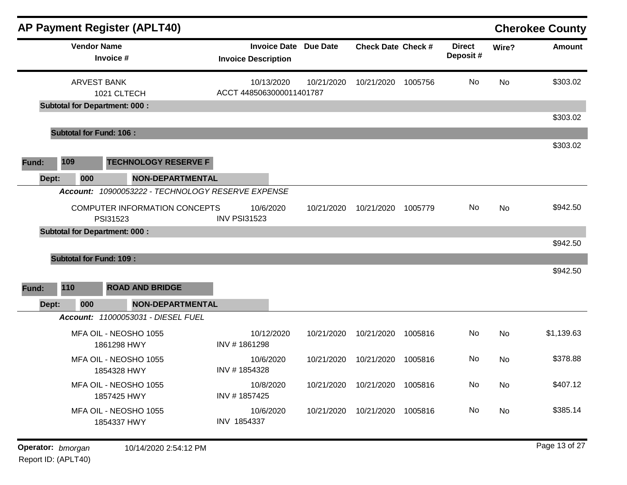|       |                                | <b>AP Payment Register (APLT40)</b>                                 |                                                            |            |                                 |         |                           |           | <b>Cherokee County</b> |
|-------|--------------------------------|---------------------------------------------------------------------|------------------------------------------------------------|------------|---------------------------------|---------|---------------------------|-----------|------------------------|
|       | <b>Vendor Name</b>             | Invoice #                                                           | <b>Invoice Date Due Date</b><br><b>Invoice Description</b> |            | <b>Check Date Check #</b>       |         | <b>Direct</b><br>Deposit# | Wire?     | <b>Amount</b>          |
|       | <b>ARVEST BANK</b>             | 1021 CLTECH<br><b>Subtotal for Department: 000:</b>                 | 10/13/2020<br>ACCT 4485063000011401787                     | 10/21/2020 | 10/21/2020                      | 1005756 | No                        | <b>No</b> | \$303.02               |
|       |                                |                                                                     |                                                            |            |                                 |         |                           |           | \$303.02               |
|       | <b>Subtotal for Fund: 106:</b> |                                                                     |                                                            |            |                                 |         |                           |           |                        |
| Fund: | 109                            | <b>TECHNOLOGY RESERVE F</b>                                         |                                                            |            |                                 |         |                           |           | \$303.02               |
| Dept: | 000<br>Account:                | <b>NON-DEPARTMENTAL</b><br>10900053222 - TECHNOLOGY RESERVE EXPENSE |                                                            |            |                                 |         |                           |           |                        |
|       |                                | <b>COMPUTER INFORMATION CONCEPTS</b><br>PSI31523                    | 10/6/2020<br><b>INV PSI31523</b>                           | 10/21/2020 | 10/21/2020                      | 1005779 | No.                       | No        | \$942.50               |
|       |                                | <b>Subtotal for Department: 000:</b>                                |                                                            |            |                                 |         |                           |           |                        |
|       | <b>Subtotal for Fund: 109:</b> |                                                                     |                                                            |            |                                 |         |                           |           | \$942.50               |
|       |                                |                                                                     |                                                            |            |                                 |         |                           |           | \$942.50               |
| Fund: | 110                            | <b>ROAD AND BRIDGE</b>                                              |                                                            |            |                                 |         |                           |           |                        |
| Dept: | 000                            | <b>NON-DEPARTMENTAL</b>                                             |                                                            |            |                                 |         |                           |           |                        |
|       |                                | Account: 11000053031 - DIESEL FUEL                                  |                                                            |            |                                 |         |                           |           |                        |
|       |                                | MFA OIL - NEOSHO 1055<br>1861298 HWY                                | 10/12/2020<br>INV #1861298                                 | 10/21/2020 | 10/21/2020                      | 1005816 | No                        | No        | \$1,139.63             |
|       |                                | MFA OIL - NEOSHO 1055<br>1854328 HWY                                | 10/6/2020<br>INV #1854328                                  | 10/21/2020 | 10/21/2020                      | 1005816 | No.                       | No        | \$378.88               |
|       |                                | MFA OIL - NEOSHO 1055<br>1857425 HWY                                | 10/8/2020<br>INV #1857425                                  |            | 10/21/2020  10/21/2020  1005816 |         | No                        | No        | \$407.12               |
|       |                                | MFA OIL - NEOSHO 1055<br>1854337 HWY                                | 10/6/2020<br>INV 1854337                                   |            | 10/21/2020  10/21/2020          | 1005816 | No                        | No        | \$385.14               |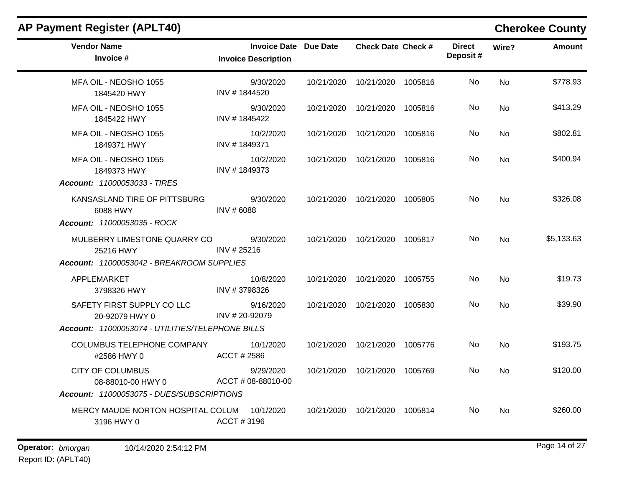| <b>Vendor Name</b><br>Invoice #                                                                  | <b>Invoice Date Due Date</b><br><b>Invoice Description</b> | <b>Check Date Check #</b>       | <b>Direct</b><br>Deposit# | Wire?     | <b>Amount</b> |
|--------------------------------------------------------------------------------------------------|------------------------------------------------------------|---------------------------------|---------------------------|-----------|---------------|
| MFA OIL - NEOSHO 1055<br>1845420 HWY                                                             | 9/30/2020<br>INV #1844520                                  | 10/21/2020  10/21/2020  1005816 | No                        | <b>No</b> | \$778.93      |
| MFA OIL - NEOSHO 1055<br>1845422 HWY                                                             | 9/30/2020<br>INV #1845422                                  | 10/21/2020  10/21/2020  1005816 | No.                       | No        | \$413.29      |
| MFA OIL - NEOSHO 1055<br>1849371 HWY                                                             | 10/2/2020<br>INV #1849371                                  | 10/21/2020 10/21/2020 1005816   | No.                       | <b>No</b> | \$802.81      |
| MFA OIL - NEOSHO 1055<br>1849373 HWY<br><b>Account: 11000053033 - TIRES</b>                      | 10/2/2020<br>INV #1849373                                  | 10/21/2020  10/21/2020  1005816 | No.                       | No        | \$400.94      |
| KANSASLAND TIRE OF PITTSBURG<br>6088 HWY<br>Account: 11000053035 - ROCK                          | 9/30/2020<br>INV #6088                                     | 10/21/2020  10/21/2020  1005805 | No.                       | No        | \$326.08      |
| MULBERRY LIMESTONE QUARRY CO<br>25216 HWY<br>Account: 11000053042 - BREAKROOM SUPPLIES           | 9/30/2020<br>INV #25216                                    | 10/21/2020  10/21/2020  1005817 | No.                       | No        | \$5,133.63    |
| APPLEMARKET<br>3798326 HWY                                                                       | 10/8/2020<br>INV #3798326                                  | 10/21/2020  10/21/2020  1005755 | No                        | <b>No</b> | \$19.73       |
| SAFETY FIRST SUPPLY CO LLC<br>20-92079 HWY 0<br>Account: 11000053074 - UTILITIES/TELEPHONE BILLS | 9/16/2020<br>INV #20-92079                                 | 10/21/2020  10/21/2020  1005830 | No.                       | No        | \$39.90       |
| COLUMBUS TELEPHONE COMPANY<br>#2586 HWY 0                                                        | 10/1/2020<br>ACCT # 2586                                   | 10/21/2020  10/21/2020  1005776 | No.                       | <b>No</b> | \$193.75      |
| <b>CITY OF COLUMBUS</b><br>08-88010-00 HWY 0<br>Account: 11000053075 - DUES/SUBSCRIPTIONS        | 9/29/2020<br>ACCT # 08-88010-00                            | 10/21/2020  10/21/2020  1005769 | No.                       | No.       | \$120.00      |
| MERCY MAUDE NORTON HOSPITAL COLUM<br>3196 HWY 0                                                  | 10/1/2020<br>ACCT#3196                                     | 10/21/2020  10/21/2020  1005814 | No.                       | No        | \$260.00      |

# **AP Payment Register (APLT40) Cherokee County**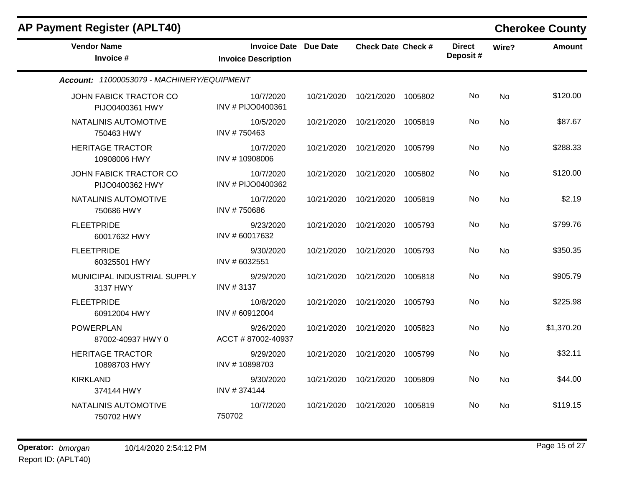| <b>AP Payment Register (APLT40)</b>        |                                                            |            |                           |         |                           |           | <b>Cherokee County</b> |
|--------------------------------------------|------------------------------------------------------------|------------|---------------------------|---------|---------------------------|-----------|------------------------|
| <b>Vendor Name</b><br>Invoice #            | <b>Invoice Date Due Date</b><br><b>Invoice Description</b> |            | <b>Check Date Check #</b> |         | <b>Direct</b><br>Deposit# | Wire?     | <b>Amount</b>          |
| Account: 11000053079 - MACHINERY/EQUIPMENT |                                                            |            |                           |         |                           |           |                        |
| JOHN FABICK TRACTOR CO<br>PIJO0400361 HWY  | 10/7/2020<br>INV # PIJO0400361                             | 10/21/2020 | 10/21/2020                | 1005802 | No                        | <b>No</b> | \$120.00               |
| NATALINIS AUTOMOTIVE<br>750463 HWY         | 10/5/2020<br>INV #750463                                   | 10/21/2020 | 10/21/2020                | 1005819 | No.                       | <b>No</b> | \$87.67                |
| <b>HERITAGE TRACTOR</b><br>10908006 HWY    | 10/7/2020<br>INV #10908006                                 | 10/21/2020 | 10/21/2020                | 1005799 | No                        | <b>No</b> | \$288.33               |
| JOHN FABICK TRACTOR CO<br>PIJO0400362 HWY  | 10/7/2020<br>INV # PIJO0400362                             | 10/21/2020 | 10/21/2020                | 1005802 | No                        | <b>No</b> | \$120.00               |
| NATALINIS AUTOMOTIVE<br>750686 HWY         | 10/7/2020<br>INV #750686                                   | 10/21/2020 | 10/21/2020                | 1005819 | No                        | No        | \$2.19                 |
| <b>FLEETPRIDE</b><br>60017632 HWY          | 9/23/2020<br>INV #60017632                                 | 10/21/2020 | 10/21/2020                | 1005793 | No                        | No        | \$799.76               |
| <b>FLEETPRIDE</b><br>60325501 HWY          | 9/30/2020<br>INV # 6032551                                 | 10/21/2020 | 10/21/2020                | 1005793 | No                        | <b>No</b> | \$350.35               |
| MUNICIPAL INDUSTRIAL SUPPLY<br>3137 HWY    | 9/29/2020<br>INV #3137                                     | 10/21/2020 | 10/21/2020                | 1005818 | No                        | <b>No</b> | \$905.79               |
| <b>FLEETPRIDE</b><br>60912004 HWY          | 10/8/2020<br>INV # 60912004                                | 10/21/2020 | 10/21/2020                | 1005793 | No                        | <b>No</b> | \$225.98               |
| <b>POWERPLAN</b><br>87002-40937 HWY 0      | 9/26/2020<br>ACCT #87002-40937                             | 10/21/2020 | 10/21/2020                | 1005823 | No                        | No        | \$1,370.20             |
| <b>HERITAGE TRACTOR</b><br>10898703 HWY    | 9/29/2020<br>INV #10898703                                 | 10/21/2020 | 10/21/2020                | 1005799 | No.                       | <b>No</b> | \$32.11                |
| <b>KIRKLAND</b><br>374144 HWY              | 9/30/2020<br>INV #374144                                   | 10/21/2020 | 10/21/2020                | 1005809 | No                        | <b>No</b> | \$44.00                |
| NATALINIS AUTOMOTIVE<br>750702 HWY         | 10/7/2020<br>750702                                        | 10/21/2020 | 10/21/2020                | 1005819 | No                        | No        | \$119.15               |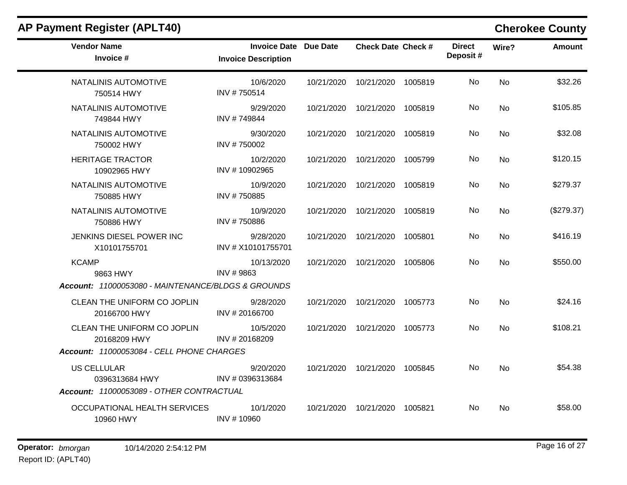| <b>AP Payment Register (APLT40)</b>                |                                                            |            |                                 |         |                           |                | <b>Cherokee County</b> |
|----------------------------------------------------|------------------------------------------------------------|------------|---------------------------------|---------|---------------------------|----------------|------------------------|
| <b>Vendor Name</b><br>Invoice #                    | <b>Invoice Date Due Date</b><br><b>Invoice Description</b> |            | Check Date Check #              |         | <b>Direct</b><br>Deposit# | Wire?          | <b>Amount</b>          |
| NATALINIS AUTOMOTIVE<br>750514 HWY                 | 10/6/2020<br>INV #750514                                   | 10/21/2020 | 10/21/2020                      | 1005819 | No.                       | <b>No</b>      | \$32.26                |
| NATALINIS AUTOMOTIVE<br>749844 HWY                 | 9/29/2020<br>INV #749844                                   |            | 10/21/2020  10/21/2020  1005819 |         | No.                       | No             | \$105.85               |
| NATALINIS AUTOMOTIVE<br>750002 HWY                 | 9/30/2020<br>INV #750002                                   | 10/21/2020 | 10/21/2020                      | 1005819 | No.                       | <b>No</b>      | \$32.08                |
| <b>HERITAGE TRACTOR</b><br>10902965 HWY            | 10/2/2020<br>INV #10902965                                 |            | 10/21/2020 10/21/2020           | 1005799 | No.                       | <b>No</b>      | \$120.15               |
| NATALINIS AUTOMOTIVE<br>750885 HWY                 | 10/9/2020<br>INV #750885                                   | 10/21/2020 | 10/21/2020                      | 1005819 | No.                       | <b>No</b>      | \$279.37               |
| NATALINIS AUTOMOTIVE<br>750886 HWY                 | 10/9/2020<br>INV #750886                                   | 10/21/2020 | 10/21/2020                      | 1005819 | No.                       | <b>No</b>      | (\$279.37)             |
| JENKINS DIESEL POWER INC<br>X10101755701           | 9/28/2020<br>INV # X10101755701                            | 10/21/2020 | 10/21/2020                      | 1005801 | No.                       | No             | \$416.19               |
| <b>KCAMP</b><br>9863 HWY                           | 10/13/2020<br>INV #9863                                    | 10/21/2020 | 10/21/2020                      | 1005806 | No                        | <b>No</b>      | \$550.00               |
| Account: 11000053080 - MAINTENANCE/BLDGS & GROUNDS |                                                            |            |                                 |         |                           |                |                        |
| CLEAN THE UNIFORM CO JOPLIN<br>20166700 HWY        | 9/28/2020<br>INV #20166700                                 |            | 10/21/2020  10/21/2020  1005773 |         | No.                       | N <sub>0</sub> | \$24.16                |
| CLEAN THE UNIFORM CO JOPLIN<br>20168209 HWY        | 10/5/2020<br>INV #20168209                                 |            | 10/21/2020 10/21/2020           | 1005773 | No.                       | <b>No</b>      | \$108.21               |
| Account: 11000053084 - CELL PHONE CHARGES          |                                                            |            |                                 |         |                           |                |                        |
| <b>US CELLULAR</b><br>0396313684 HWY               | 9/20/2020<br>INV # 0396313684                              |            | 10/21/2020  10/21/2020  1005845 |         | No.                       | No             | \$54.38                |
| Account: 11000053089 - OTHER CONTRACTUAL           |                                                            |            |                                 |         |                           |                |                        |
| OCCUPATIONAL HEALTH SERVICES<br>10960 HWY          | 10/1/2020<br>INV #10960                                    | 10/21/2020 | 10/21/2020 1005821              |         | No                        | <b>No</b>      | \$58.00                |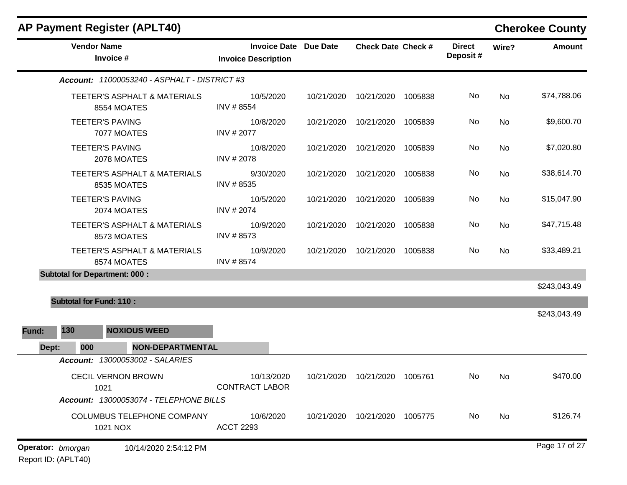|                   |                                      | <b>AP Payment Register (APLT40)</b>          |                                                            |            |                                 |         |                           |       | <b>Cherokee County</b> |
|-------------------|--------------------------------------|----------------------------------------------|------------------------------------------------------------|------------|---------------------------------|---------|---------------------------|-------|------------------------|
|                   | <b>Vendor Name</b>                   | Invoice #                                    | <b>Invoice Date Due Date</b><br><b>Invoice Description</b> |            | <b>Check Date Check #</b>       |         | <b>Direct</b><br>Deposit# | Wire? | <b>Amount</b>          |
|                   |                                      | Account: 11000053240 - ASPHALT - DISTRICT #3 |                                                            |            |                                 |         |                           |       |                        |
|                   |                                      | TEETER'S ASPHALT & MATERIALS<br>8554 MOATES  | 10/5/2020<br>INV #8554                                     | 10/21/2020 | 10/21/2020 1005838              |         | No                        | No    | \$74,788.06            |
|                   |                                      | <b>TEETER'S PAVING</b><br>7077 MOATES        | 10/8/2020<br>INV # 2077                                    | 10/21/2020 | 10/21/2020                      | 1005839 | No                        | No    | \$9,600.70             |
|                   |                                      | <b>TEETER'S PAVING</b><br>2078 MOATES        | 10/8/2020<br>INV #2078                                     | 10/21/2020 | 10/21/2020                      | 1005839 | No                        | No    | \$7,020.80             |
|                   |                                      | TEETER'S ASPHALT & MATERIALS<br>8535 MOATES  | 9/30/2020<br>INV #8535                                     | 10/21/2020 | 10/21/2020                      | 1005838 | No                        | No    | \$38,614.70            |
|                   |                                      | <b>TEETER'S PAVING</b><br>2074 MOATES        | 10/5/2020<br>INV #2074                                     | 10/21/2020 | 10/21/2020                      | 1005839 | No                        | No    | \$15,047.90            |
|                   |                                      | TEETER'S ASPHALT & MATERIALS<br>8573 MOATES  | 10/9/2020<br>INV #8573                                     | 10/21/2020 | 10/21/2020                      | 1005838 | No                        | No    | \$47,715.48            |
|                   |                                      | TEETER'S ASPHALT & MATERIALS<br>8574 MOATES  | 10/9/2020<br>INV #8574                                     | 10/21/2020 | 10/21/2020                      | 1005838 | No                        | No    | \$33,489.21            |
|                   | <b>Subtotal for Department: 000:</b> |                                              |                                                            |            |                                 |         |                           |       |                        |
|                   |                                      |                                              |                                                            |            |                                 |         |                           |       | \$243,043.49           |
|                   | <b>Subtotal for Fund: 110:</b>       |                                              |                                                            |            |                                 |         |                           |       |                        |
| Fund:             | 130                                  | <b>NOXIOUS WEED</b>                          |                                                            |            |                                 |         |                           |       | \$243,043.49           |
| Dept:             | 000                                  | <b>NON-DEPARTMENTAL</b>                      |                                                            |            |                                 |         |                           |       |                        |
|                   |                                      | <b>Account: 13000053002 - SALARIES</b>       |                                                            |            |                                 |         |                           |       |                        |
|                   | 1021                                 | <b>CECIL VERNON BROWN</b>                    | 10/13/2020<br><b>CONTRACT LABOR</b>                        |            | 10/21/2020  10/21/2020  1005761 |         | No                        | No    | \$470.00               |
|                   |                                      | Account: 13000053074 - TELEPHONE BILLS       |                                                            |            |                                 |         |                           |       |                        |
|                   |                                      | COLUMBUS TELEPHONE COMPANY<br>1021 NOX       | 10/6/2020<br><b>ACCT 2293</b>                              |            | 10/21/2020  10/21/2020  1005775 |         | No                        | No    | \$126.74               |
| Operator: bmorgan |                                      | 10/14/2020 2:54:12 PM                        |                                                            |            |                                 |         |                           |       | Page 17 of 27          |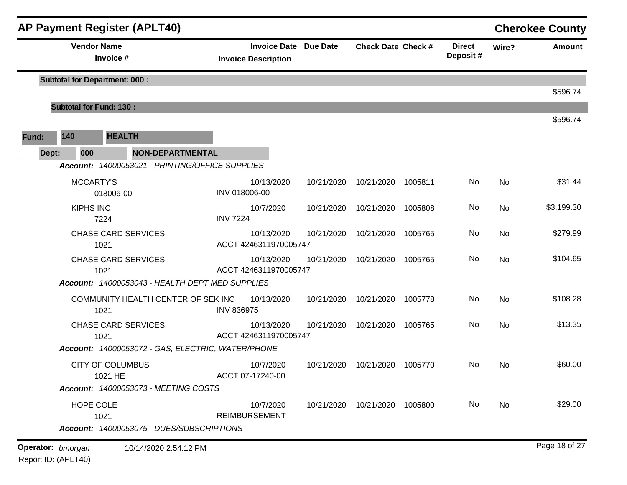|       |                  | <b>AP Payment Register (APLT40)</b>                          |                                                            |            |                                 |         |                           |       | <b>Cherokee County</b> |
|-------|------------------|--------------------------------------------------------------|------------------------------------------------------------|------------|---------------------------------|---------|---------------------------|-------|------------------------|
|       |                  | <b>Vendor Name</b><br>Invoice #                              | <b>Invoice Date Due Date</b><br><b>Invoice Description</b> |            | <b>Check Date Check #</b>       |         | <b>Direct</b><br>Deposit# | Wire? | <b>Amount</b>          |
|       |                  | <b>Subtotal for Department: 000:</b>                         |                                                            |            |                                 |         |                           |       |                        |
|       |                  | <b>Subtotal for Fund: 130:</b>                               |                                                            |            |                                 |         |                           |       | \$596.74               |
|       |                  |                                                              |                                                            |            |                                 |         |                           |       | \$596.74               |
| Fund: | 140              | <b>HEALTH</b>                                                |                                                            |            |                                 |         |                           |       |                        |
|       | 000<br>Dept:     | <b>NON-DEPARTMENTAL</b>                                      |                                                            |            |                                 |         |                           |       |                        |
|       |                  | Account: 14000053021 - PRINTING/OFFICE SUPPLIES<br>MCCARTY'S | 10/13/2020                                                 | 10/21/2020 | 10/21/2020                      | 1005811 | No                        | No    | \$31.44                |
|       |                  | 018006-00                                                    | INV 018006-00                                              |            |                                 |         |                           |       |                        |
|       | <b>KIPHS INC</b> | 7224                                                         | 10/7/2020<br><b>INV 7224</b>                               | 10/21/2020 | 10/21/2020                      | 1005808 | No                        | No    | \$3,199.30             |
|       |                  | <b>CHASE CARD SERVICES</b><br>1021                           | 10/13/2020<br>ACCT 4246311970005747                        | 10/21/2020 | 10/21/2020                      | 1005765 | No                        | No    | \$279.99               |
|       |                  | <b>CHASE CARD SERVICES</b><br>1021                           | 10/13/2020<br>ACCT 4246311970005747                        | 10/21/2020 | 10/21/2020                      | 1005765 | No                        | No    | \$104.65               |
|       |                  | Account: 14000053043 - HEALTH DEPT MED SUPPLIES              |                                                            |            |                                 |         |                           |       |                        |
|       |                  | COMMUNITY HEALTH CENTER OF SEK INC<br>1021                   | 10/13/2020<br><b>INV 836975</b>                            | 10/21/2020 | 10/21/2020                      | 1005778 | No                        | No    | \$108.28               |
|       |                  | <b>CHASE CARD SERVICES</b><br>1021                           | 10/13/2020<br>ACCT 4246311970005747                        | 10/21/2020 | 10/21/2020                      | 1005765 | No                        | No    | \$13.35                |
|       |                  | Account: 14000053072 - GAS, ELECTRIC, WATER/PHONE            |                                                            |            |                                 |         |                           |       |                        |
|       |                  | <b>CITY OF COLUMBUS</b><br>1021 HE                           | 10/7/2020<br>ACCT 07-17240-00                              | 10/21/2020 | 10/21/2020                      | 1005770 | No                        | No    | \$60.00                |
|       |                  | <b>Account: 14000053073 - MEETING COSTS</b>                  |                                                            |            |                                 |         |                           |       |                        |
|       |                  | HOPE COLE<br>1021                                            | 10/7/2020<br><b>REIMBURSEMENT</b>                          |            | 10/21/2020  10/21/2020  1005800 |         | No                        | No    | \$29.00                |
|       |                  | Account: 14000053075 - DUES/SUBSCRIPTIONS                    |                                                            |            |                                 |         |                           |       |                        |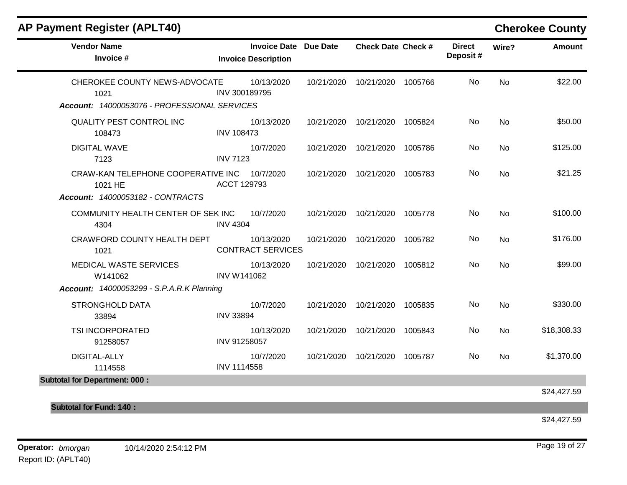| <b>AP Payment Register (APLT40)</b>                                                   |                    |                                                            |            |                           |         |                           |           | <b>Cherokee County</b> |
|---------------------------------------------------------------------------------------|--------------------|------------------------------------------------------------|------------|---------------------------|---------|---------------------------|-----------|------------------------|
| <b>Vendor Name</b><br>Invoice #                                                       |                    | <b>Invoice Date Due Date</b><br><b>Invoice Description</b> |            | <b>Check Date Check #</b> |         | <b>Direct</b><br>Deposit# | Wire?     | <b>Amount</b>          |
| CHEROKEE COUNTY NEWS-ADVOCATE<br>1021<br>Account: 14000053076 - PROFESSIONAL SERVICES | INV 300189795      | 10/13/2020                                                 | 10/21/2020 | 10/21/2020 1005766        |         | <b>No</b>                 | <b>No</b> | \$22.00                |
| <b>QUALITY PEST CONTROL INC</b><br>108473                                             | <b>INV 108473</b>  | 10/13/2020                                                 | 10/21/2020 | 10/21/2020 1005824        |         | <b>No</b>                 | <b>No</b> | \$50.00                |
| <b>DIGITAL WAVE</b><br>7123                                                           | <b>INV 7123</b>    | 10/7/2020                                                  | 10/21/2020 | 10/21/2020                | 1005786 | No                        | <b>No</b> | \$125.00               |
| CRAW-KAN TELEPHONE COOPERATIVE INC<br>1021 HE<br>Account: 14000053182 - CONTRACTS     | ACCT 129793        | 10/7/2020                                                  | 10/21/2020 | 10/21/2020                | 1005783 | No.                       | <b>No</b> | \$21.25                |
| COMMUNITY HEALTH CENTER OF SEK INC<br>4304                                            | <b>INV 4304</b>    | 10/7/2020                                                  | 10/21/2020 | 10/21/2020                | 1005778 | No                        | <b>No</b> | \$100.00               |
| CRAWFORD COUNTY HEALTH DEPT<br>1021                                                   |                    | 10/13/2020<br><b>CONTRACT SERVICES</b>                     | 10/21/2020 | 10/21/2020                | 1005782 | No.                       | No        | \$176.00               |
| MEDICAL WASTE SERVICES<br>W141062<br><b>Account: 14000053299 - S.P.A.R.K Planning</b> | <b>INV W141062</b> | 10/13/2020                                                 | 10/21/2020 | 10/21/2020                | 1005812 | No.                       | <b>No</b> | \$99.00                |
| <b>STRONGHOLD DATA</b><br>33894                                                       | <b>INV 33894</b>   | 10/7/2020                                                  | 10/21/2020 | 10/21/2020                | 1005835 | No                        | <b>No</b> | \$330.00               |
| TSI INCORPORATED<br>91258057                                                          | INV 91258057       | 10/13/2020                                                 | 10/21/2020 | 10/21/2020                | 1005843 | No.                       | No        | \$18,308.33            |
| DIGITAL-ALLY<br>1114558                                                               | INV 1114558        | 10/7/2020                                                  | 10/21/2020 | 10/21/2020                | 1005787 | No                        | <b>No</b> | \$1,370.00             |
| <b>Subtotal for Department: 000:</b>                                                  |                    |                                                            |            |                           |         |                           |           | \$24,427.59            |
| <b>Subtotal for Fund: 140:</b>                                                        |                    |                                                            |            |                           |         |                           |           |                        |

\$24,427.59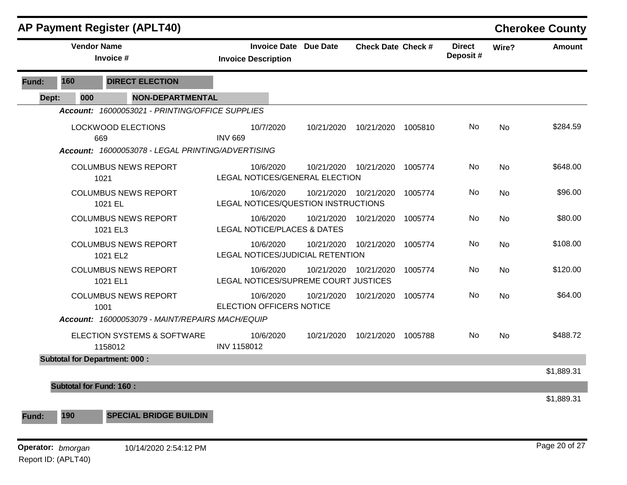|       |                                                                                | <b>AP Payment Register (APLT40)</b>             |                                                            |            |                           |         |                           |           | <b>Cherokee County</b> |
|-------|--------------------------------------------------------------------------------|-------------------------------------------------|------------------------------------------------------------|------------|---------------------------|---------|---------------------------|-----------|------------------------|
|       | <b>Vendor Name</b>                                                             | Invoice #                                       | <b>Invoice Date Due Date</b><br><b>Invoice Description</b> |            | <b>Check Date Check #</b> |         | <b>Direct</b><br>Deposit# | Wire?     | <b>Amount</b>          |
| Fund: | <b>DIRECT ELECTION</b><br>160                                                  |                                                 |                                                            |            |                           |         |                           |           |                        |
| Dept: | 000                                                                            | <b>NON-DEPARTMENTAL</b>                         |                                                            |            |                           |         |                           |           |                        |
|       |                                                                                | Account: 16000053021 - PRINTING/OFFICE SUPPLIES |                                                            |            |                           |         |                           |           |                        |
|       | LOCKWOOD ELECTIONS<br>669<br>Account: 16000053078 - LEGAL PRINTING/ADVERTISING |                                                 | 10/7/2020<br><b>INV 669</b>                                | 10/21/2020 | 10/21/2020                | 1005810 | No.                       | No        | \$284.59               |
|       |                                                                                |                                                 |                                                            |            |                           |         |                           |           |                        |
|       |                                                                                | <b>COLUMBUS NEWS REPORT</b><br>1021             | 10/6/2020<br>LEGAL NOTICES/GENERAL ELECTION                | 10/21/2020 | 10/21/2020                | 1005774 | No.                       | No        | \$648.00               |
|       |                                                                                | <b>COLUMBUS NEWS REPORT</b><br>1021 EL          | 10/6/2020<br>LEGAL NOTICES/QUESTION INSTRUCTIONS           |            | 10/21/2020 10/21/2020     | 1005774 | No                        | <b>No</b> | \$96.00                |
|       |                                                                                | <b>COLUMBUS NEWS REPORT</b><br>1021 EL3         | 10/6/2020<br><b>LEGAL NOTICE/PLACES &amp; DATES</b>        | 10/21/2020 | 10/21/2020                | 1005774 | No                        | No        | \$80.00                |
|       |                                                                                | <b>COLUMBUS NEWS REPORT</b><br>1021 EL2         | 10/6/2020<br>LEGAL NOTICES/JUDICIAL RETENTION              | 10/21/2020 | 10/21/2020                | 1005774 | No.                       | No        | \$108.00               |
|       |                                                                                | <b>COLUMBUS NEWS REPORT</b><br>1021 EL1         | 10/6/2020<br>LEGAL NOTICES/SUPREME COURT JUSTICES          | 10/21/2020 | 10/21/2020                | 1005774 | No                        | <b>No</b> | \$120.00               |
|       |                                                                                | <b>COLUMBUS NEWS REPORT</b><br>1001             | 10/6/2020<br><b>ELECTION OFFICERS NOTICE</b>               | 10/21/2020 | 10/21/2020                | 1005774 | No.                       | No        | \$64.00                |
|       |                                                                                | Account: 16000053079 - MAINT/REPAIRS MACH/EQUIP |                                                            |            |                           |         |                           |           |                        |
|       |                                                                                | ELECTION SYSTEMS & SOFTWARE<br>1158012          | 10/6/2020<br>INV 1158012                                   | 10/21/2020 | 10/21/2020                | 1005788 | No                        | No        | \$488.72               |
|       |                                                                                | <b>Subtotal for Department: 000:</b>            |                                                            |            |                           |         |                           |           |                        |
|       |                                                                                |                                                 |                                                            |            |                           |         |                           |           | \$1,889.31             |
|       | <b>Subtotal for Fund: 160:</b>                                                 |                                                 |                                                            |            |                           |         |                           |           |                        |
| Fund: | 190                                                                            | <b>SPECIAL BRIDGE BUILDIN</b>                   |                                                            |            |                           |         |                           |           | \$1,889.31             |

**Operator:** bmorgan 10/14/2020 2:54:12 PM Report ID: (APLT40)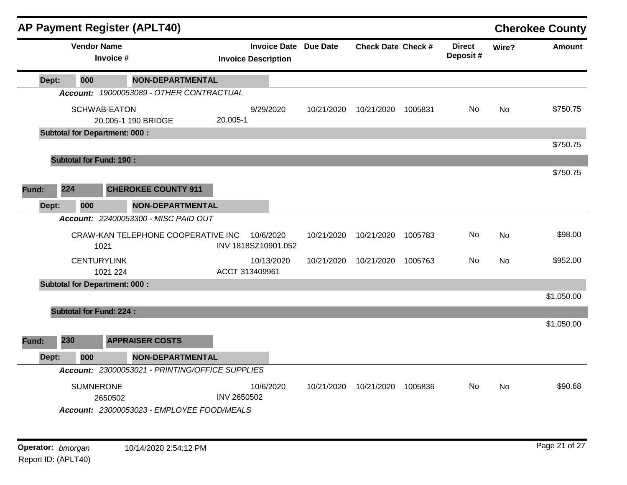|       |                                | <b>AP Payment Register (APLT40)</b>        |                                                 |             |                                                            |            |                           |         |                           |           | <b>Cherokee County</b> |
|-------|--------------------------------|--------------------------------------------|-------------------------------------------------|-------------|------------------------------------------------------------|------------|---------------------------|---------|---------------------------|-----------|------------------------|
|       | <b>Vendor Name</b>             | Invoice #                                  |                                                 |             | <b>Invoice Date Due Date</b><br><b>Invoice Description</b> |            | <b>Check Date Check #</b> |         | <b>Direct</b><br>Deposit# | Wire?     | Amount                 |
| Dept: | 000                            |                                            | <b>NON-DEPARTMENTAL</b>                         |             |                                                            |            |                           |         |                           |           |                        |
|       |                                |                                            | Account: 19000053089 - OTHER CONTRACTUAL        |             |                                                            |            |                           |         |                           |           |                        |
|       |                                | <b>SCHWAB-EATON</b><br>20.005-1 190 BRIDGE |                                                 | 20.005-1    | 9/29/2020                                                  | 10/21/2020 | 10/21/2020                | 1005831 | No                        | <b>No</b> | \$750.75               |
|       |                                | <b>Subtotal for Department: 000:</b>       |                                                 |             |                                                            |            |                           |         |                           |           |                        |
|       |                                |                                            |                                                 |             |                                                            |            |                           |         |                           |           | \$750.75               |
|       | <b>Subtotal for Fund: 190:</b> |                                            |                                                 |             |                                                            |            |                           |         |                           |           | \$750.75               |
| Fund: | 224                            |                                            | <b>CHEROKEE COUNTY 911</b>                      |             |                                                            |            |                           |         |                           |           |                        |
| Dept: | 000                            |                                            | <b>NON-DEPARTMENTAL</b>                         |             |                                                            |            |                           |         |                           |           |                        |
|       |                                |                                            | Account: 22400053300 - MISC PAID OUT            |             |                                                            |            |                           |         |                           |           |                        |
|       |                                | 1021                                       | CRAW-KAN TELEPHONE COOPERATIVE INC              |             | 10/6/2020<br>INV 1818SZ10901.052                           | 10/21/2020 | 10/21/2020                | 1005783 | No.                       | No        | \$98.00                |
|       |                                | <b>CENTURYLINK</b><br>1021 224             |                                                 |             | 10/13/2020<br>ACCT 313409961                               | 10/21/2020 | 10/21/2020                | 1005763 | No.                       | No        | \$952.00               |
|       |                                | <b>Subtotal for Department: 000:</b>       |                                                 |             |                                                            |            |                           |         |                           |           |                        |
|       |                                |                                            |                                                 |             |                                                            |            |                           |         |                           |           | \$1,050.00             |
|       | <b>Subtotal for Fund: 224:</b> |                                            |                                                 |             |                                                            |            |                           |         |                           |           |                        |
| Fund: | 230                            |                                            | <b>APPRAISER COSTS</b>                          |             |                                                            |            |                           |         |                           |           | \$1,050.00             |
| Dept: | 000                            |                                            | NON-DEPARTMENTAL                                |             |                                                            |            |                           |         |                           |           |                        |
|       |                                |                                            | Account: 23000053021 - PRINTING/OFFICE SUPPLIES |             |                                                            |            |                           |         |                           |           |                        |
|       | <b>SUMNERONE</b>               | 2650502                                    | Account: 23000053023 - EMPLOYEE FOOD/MEALS      | INV 2650502 | 10/6/2020                                                  | 10/21/2020 | 10/21/2020                | 1005836 | No.                       | No        | \$90.68                |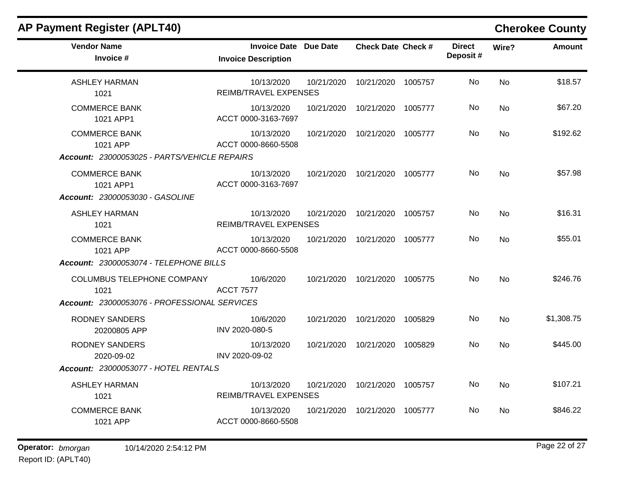| <b>AP Payment Register (APLT40)</b>                                                                                  |                                                            |            |                                     |         |                           |             | <b>Cherokee County</b> |
|----------------------------------------------------------------------------------------------------------------------|------------------------------------------------------------|------------|-------------------------------------|---------|---------------------------|-------------|------------------------|
| <b>Vendor Name</b><br>Invoice #                                                                                      | <b>Invoice Date Due Date</b><br><b>Invoice Description</b> |            | <b>Check Date Check #</b>           |         | <b>Direct</b><br>Deposit# | Wire?       | <b>Amount</b>          |
| <b>ASHLEY HARMAN</b><br>1021                                                                                         | 10/13/2020<br><b>REIMB/TRAVEL EXPENSES</b>                 | 10/21/2020 | 10/21/2020                          | 1005757 | No                        | <b>No</b>   | \$18.57                |
| <b>COMMERCE BANK</b><br>1021 APP1                                                                                    | 10/13/2020<br>ACCT 0000-3163-7697                          | 10/21/2020 | 10/21/2020 1005777                  |         | No.                       | No          | \$67.20                |
| <b>COMMERCE BANK</b><br>1021 APP                                                                                     | 10/13/2020<br>ACCT 0000-8660-5508                          | 10/21/2020 | 10/21/2020                          | 1005777 | No                        | No          | \$192.62               |
| Account: 23000053025 - PARTS/VEHICLE REPAIRS<br><b>COMMERCE BANK</b><br>1021 APP1<br>Account: 23000053030 - GASOLINE | 10/13/2020<br>ACCT 0000-3163-7697                          | 10/21/2020 | 10/21/2020 1005777                  |         | No                        | <b>No</b>   | \$57.98                |
| <b>ASHLEY HARMAN</b><br>1021                                                                                         | 10/13/2020<br>REIMB/TRAVEL EXPENSES                        | 10/21/2020 | 10/21/2020                          | 1005757 | No                        | No          | \$16.31                |
| <b>COMMERCE BANK</b><br>1021 APP                                                                                     | 10/13/2020<br>ACCT 0000-8660-5508                          | 10/21/2020 | 10/21/2020                          | 1005777 | No                        | <b>No</b>   | \$55.01                |
| Account: 23000053074 - TELEPHONE BILLS                                                                               |                                                            |            |                                     |         |                           |             |                        |
| COLUMBUS TELEPHONE COMPANY<br>1021                                                                                   | 10/6/2020<br><b>ACCT 7577</b>                              | 10/21/2020 | 10/21/2020                          | 1005775 | No                        | <b>No</b>   | \$246.76               |
| Account: 23000053076 - PROFESSIONAL SERVICES                                                                         |                                                            |            |                                     |         |                           |             |                        |
| <b>RODNEY SANDERS</b><br>20200805 APP                                                                                | 10/6/2020<br>INV 2020-080-5                                | 10/21/2020 | 10/21/2020                          | 1005829 | No                        | <b>No</b>   | \$1,308.75             |
| <b>RODNEY SANDERS</b><br>2020-09-02                                                                                  | 10/13/2020<br>INV 2020-09-02                               | 10/21/2020 | 10/21/2020                          | 1005829 | No                        | <b>No</b>   | \$445.00               |
| <b>Account: 23000053077 - HOTEL RENTALS</b>                                                                          |                                                            |            |                                     |         |                           |             |                        |
| A OLILICY LIADMANI                                                                                                   | 10/12/200                                                  |            | $10/21/2020$ $10/21/2020$ $1005757$ |         | $N_{\alpha}$              | $N_{\rm A}$ | <b>C107 21</b>         |

| ASHLEY HARMAN        | 10/13/2020            | 10/21/2020 | 10/21/2020 | 1005757 | No | No | \$107.21 |
|----------------------|-----------------------|------------|------------|---------|----|----|----------|
| 1021                 | REIMB/TRAVEL EXPENSES |            |            |         |    |    |          |
| <b>COMMERCE BANK</b> | 10/13/2020            | 10/21/2020 | 10/21/2020 | 1005777 | No | No | \$846.22 |
| 1021 APP             | ACCT 0000-8660-5508   |            |            |         |    |    |          |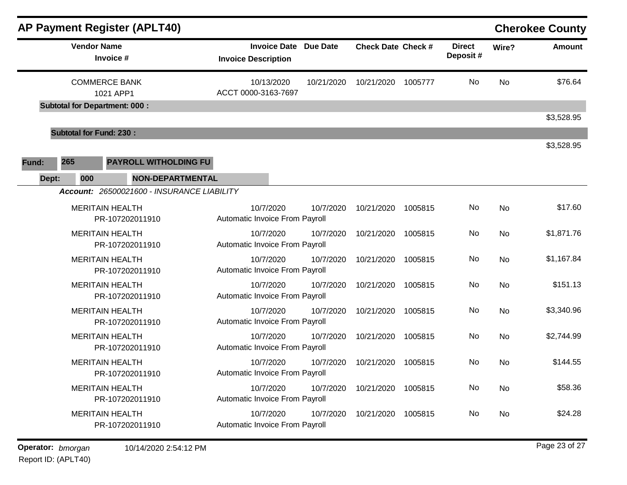| AP Payment Register (APLT40)                                                     |                                                   |                 |                           |         |                           |           | <b>Cherokee County</b> |
|----------------------------------------------------------------------------------|---------------------------------------------------|-----------------|---------------------------|---------|---------------------------|-----------|------------------------|
| <b>Vendor Name</b><br>Invoice #                                                  | <b>Invoice Date</b><br><b>Invoice Description</b> | <b>Due Date</b> | <b>Check Date Check #</b> |         | <b>Direct</b><br>Deposit# | Wire?     | <b>Amount</b>          |
| <b>COMMERCE BANK</b><br>1021 APP1<br><b>Subtotal for Department: 000:</b>        | 10/13/2020<br>ACCT 0000-3163-7697                 | 10/21/2020      | 10/21/2020                | 1005777 | No.                       | <b>No</b> | \$76.64                |
|                                                                                  |                                                   |                 |                           |         |                           |           | \$3,528.95             |
| <b>Subtotal for Fund: 230:</b>                                                   |                                                   |                 |                           |         |                           |           |                        |
| 265<br>PAYROLL WITHOLDING FU<br>Fund:<br>Dept:<br>000<br><b>NON-DEPARTMENTAL</b> |                                                   |                 |                           |         |                           |           | \$3,528.95             |
| Account: 26500021600 - INSURANCE LIABILITY                                       |                                                   |                 |                           |         |                           |           |                        |
| <b>MERITAIN HEALTH</b><br>PR-107202011910                                        | 10/7/2020<br>Automatic Invoice From Payroll       | 10/7/2020       | 10/21/2020                | 1005815 | No                        | No        | \$17.60                |
| <b>MERITAIN HEALTH</b><br>PR-107202011910                                        | 10/7/2020<br>Automatic Invoice From Payroll       | 10/7/2020       | 10/21/2020                | 1005815 | No                        | No        | \$1,871.76             |
| <b>MERITAIN HEALTH</b><br>PR-107202011910                                        | 10/7/2020<br>Automatic Invoice From Payroll       | 10/7/2020       | 10/21/2020                | 1005815 | No                        | <b>No</b> | \$1,167.84             |
| <b>MERITAIN HEALTH</b><br>PR-107202011910                                        | 10/7/2020<br>Automatic Invoice From Payroll       | 10/7/2020       | 10/21/2020                | 1005815 | No                        | <b>No</b> | \$151.13               |
| <b>MERITAIN HEALTH</b><br>PR-107202011910                                        | 10/7/2020<br>Automatic Invoice From Payroll       | 10/7/2020       | 10/21/2020                | 1005815 | No                        | No        | \$3,340.96             |
| <b>MERITAIN HEALTH</b><br>PR-107202011910                                        | 10/7/2020<br>Automatic Invoice From Payroll       | 10/7/2020       | 10/21/2020                | 1005815 | No                        | <b>No</b> | \$2,744.99             |
| <b>MERITAIN HEALTH</b><br>PR-107202011910                                        | 10/7/2020<br>Automatic Invoice From Payroll       | 10/7/2020       | 10/21/2020                | 1005815 | No                        | <b>No</b> | \$144.55               |
| <b>MERITAIN HEALTH</b><br>PR-107202011910                                        | 10/7/2020<br>Automatic Invoice From Payroll       | 10/7/2020       | 10/21/2020                | 1005815 | No                        | No        | \$58.36                |
| <b>MERITAIN HEALTH</b><br>PR-107202011910                                        | 10/7/2020<br>Automatic Invoice From Payroll       | 10/7/2020       | 10/21/2020                | 1005815 | No                        | No        | \$24.28                |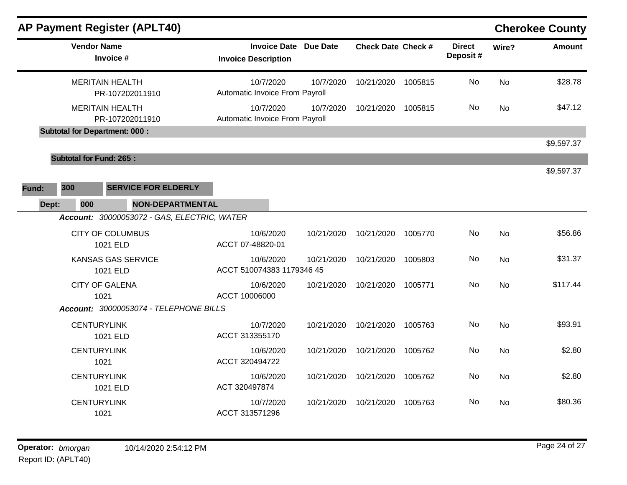| <b>AP Payment Register (APLT40)</b>                                          |                                                            |            |                           |         |                           |           | <b>Cherokee County</b> |
|------------------------------------------------------------------------------|------------------------------------------------------------|------------|---------------------------|---------|---------------------------|-----------|------------------------|
| <b>Vendor Name</b><br>Invoice #                                              | <b>Invoice Date Due Date</b><br><b>Invoice Description</b> |            | <b>Check Date Check #</b> |         | <b>Direct</b><br>Deposit# | Wire?     | <b>Amount</b>          |
| <b>MERITAIN HEALTH</b><br>PR-107202011910                                    | 10/7/2020<br>Automatic Invoice From Payroll                | 10/7/2020  | 10/21/2020                | 1005815 | No                        | <b>No</b> | \$28.78                |
| <b>MERITAIN HEALTH</b><br>PR-107202011910                                    | 10/7/2020<br>Automatic Invoice From Payroll                | 10/7/2020  | 10/21/2020                | 1005815 | No.                       | No        | \$47.12                |
| <b>Subtotal for Department: 000:</b>                                         |                                                            |            |                           |         |                           |           | \$9,597.37             |
| <b>Subtotal for Fund: 265:</b><br>300<br><b>SERVICE FOR ELDERLY</b><br>Fund: |                                                            |            |                           |         |                           |           | \$9,597.37             |
| Dept:<br><b>NON-DEPARTMENTAL</b><br>000                                      |                                                            |            |                           |         |                           |           |                        |
| Account: 30000053072 - GAS, ELECTRIC, WATER                                  |                                                            |            |                           |         |                           |           |                        |
| <b>CITY OF COLUMBUS</b><br>1021 ELD                                          | 10/6/2020<br>ACCT 07-48820-01                              | 10/21/2020 | 10/21/2020                | 1005770 | No                        | No        | \$56.86                |
| <b>KANSAS GAS SERVICE</b><br>1021 ELD                                        | 10/6/2020<br>ACCT 510074383 1179346 45                     | 10/21/2020 | 10/21/2020                | 1005803 | No                        | <b>No</b> | \$31.37                |
| <b>CITY OF GALENA</b><br>1021                                                | 10/6/2020<br>ACCT 10006000                                 | 10/21/2020 | 10/21/2020                | 1005771 | No                        | <b>No</b> | \$117.44               |
| Account: 30000053074 - TELEPHONE BILLS                                       |                                                            |            |                           |         |                           |           |                        |
| <b>CENTURYLINK</b><br>1021 ELD                                               | 10/7/2020<br>ACCT 313355170                                | 10/21/2020 | 10/21/2020                | 1005763 | No                        | <b>No</b> | \$93.91                |
| <b>CENTURYLINK</b><br>1021                                                   | 10/6/2020<br>ACCT 320494722                                | 10/21/2020 | 10/21/2020                | 1005762 | No                        | No        | \$2.80                 |
| <b>CENTURYLINK</b><br>1021 ELD                                               | 10/6/2020<br>ACT 320497874                                 | 10/21/2020 | 10/21/2020                | 1005762 | No                        | No        | \$2.80                 |
| <b>CENTURYLINK</b><br>1021                                                   | 10/7/2020<br>ACCT 313571296                                | 10/21/2020 | 10/21/2020                | 1005763 | No                        | <b>No</b> | \$80.36                |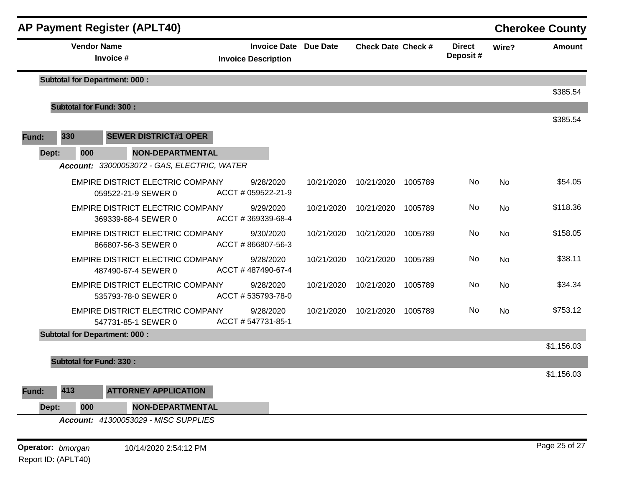|       |                                 | <b>AP Payment Register (APLT40)</b>                            |                                                   |  |                 |                           |         |                           |           | <b>Cherokee County</b> |
|-------|---------------------------------|----------------------------------------------------------------|---------------------------------------------------|--|-----------------|---------------------------|---------|---------------------------|-----------|------------------------|
|       | <b>Vendor Name</b><br>Invoice # |                                                                | <b>Invoice Date</b><br><b>Invoice Description</b> |  | <b>Due Date</b> | <b>Check Date Check #</b> |         | <b>Direct</b><br>Deposit# | Wire?     | <b>Amount</b>          |
|       |                                 | <b>Subtotal for Department: 000:</b>                           |                                                   |  |                 |                           |         |                           |           |                        |
|       |                                 |                                                                |                                                   |  |                 |                           |         |                           |           | \$385.54               |
|       | <b>Subtotal for Fund: 300:</b>  |                                                                |                                                   |  |                 |                           |         |                           |           | \$385.54               |
| Fund: | 330                             | <b>SEWER DISTRICT#1 OPER</b>                                   |                                                   |  |                 |                           |         |                           |           |                        |
| Dept: | 000                             | <b>NON-DEPARTMENTAL</b>                                        |                                                   |  |                 |                           |         |                           |           |                        |
|       |                                 | Account: 33000053072 - GAS, ELECTRIC, WATER                    |                                                   |  |                 |                           |         |                           |           |                        |
|       |                                 | EMPIRE DISTRICT ELECTRIC COMPANY<br>059522-21-9 SEWER 0        | 9/28/2020<br>ACCT # 059522-21-9                   |  | 10/21/2020      | 10/21/2020                | 1005789 | No                        | <b>No</b> | \$54.05                |
|       |                                 | EMPIRE DISTRICT ELECTRIC COMPANY<br>369339-68-4 SEWER 0        | 9/29/2020<br>ACCT #369339-68-4                    |  | 10/21/2020      | 10/21/2020                | 1005789 | No                        | <b>No</b> | \$118.36               |
|       |                                 | EMPIRE DISTRICT ELECTRIC COMPANY<br>866807-56-3 SEWER 0        | 9/30/2020<br>ACCT #866807-56-3                    |  | 10/21/2020      | 10/21/2020                | 1005789 | No                        | <b>No</b> | \$158.05               |
|       |                                 | EMPIRE DISTRICT ELECTRIC COMPANY<br>487490-67-4 SEWER 0        | 9/28/2020<br>ACCT #487490-67-4                    |  | 10/21/2020      | 10/21/2020                | 1005789 | No                        | <b>No</b> | \$38.11                |
|       |                                 | EMPIRE DISTRICT ELECTRIC COMPANY<br>535793-78-0 SEWER 0        | 9/28/2020<br>ACCT #535793-78-0                    |  | 10/21/2020      | 10/21/2020                | 1005789 | No                        | <b>No</b> | \$34.34                |
|       |                                 | <b>EMPIRE DISTRICT ELECTRIC COMPANY</b><br>547731-85-1 SEWER 0 | 9/28/2020<br>ACCT #547731-85-1                    |  | 10/21/2020      | 10/21/2020                | 1005789 | No                        | <b>No</b> | \$753.12               |
|       |                                 | <b>Subtotal for Department: 000:</b>                           |                                                   |  |                 |                           |         |                           |           |                        |
|       |                                 |                                                                |                                                   |  |                 |                           |         |                           |           | \$1,156.03             |
|       | <b>Subtotal for Fund: 330:</b>  |                                                                |                                                   |  |                 |                           |         |                           |           |                        |
|       |                                 |                                                                |                                                   |  |                 |                           |         |                           |           | \$1,156.03             |
| Fund: | 413                             | <b>ATTORNEY APPLICATION</b>                                    |                                                   |  |                 |                           |         |                           |           |                        |
| Dept: | 000                             | NON-DEPARTMENTAL                                               |                                                   |  |                 |                           |         |                           |           |                        |
|       |                                 | Account: 41300053029 - MISC SUPPLIES                           |                                                   |  |                 |                           |         |                           |           |                        |

Report ID: (APLT40)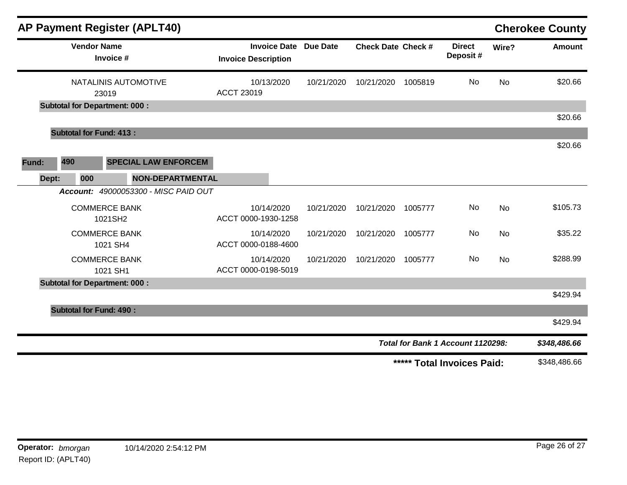|                               |                                      | <b>AP Payment Register (APLT40)</b>  |                                                            |            |                           |         |                                   |           | <b>Cherokee County</b> |
|-------------------------------|--------------------------------------|--------------------------------------|------------------------------------------------------------|------------|---------------------------|---------|-----------------------------------|-----------|------------------------|
|                               | <b>Vendor Name</b><br>Invoice #      |                                      | <b>Invoice Date Due Date</b><br><b>Invoice Description</b> |            | <b>Check Date Check #</b> |         | <b>Direct</b><br>Deposit#         | Wire?     | Amount                 |
| NATALINIS AUTOMOTIVE<br>23019 |                                      | 10/13/2020<br><b>ACCT 23019</b>      | 10/21/2020                                                 | 10/21/2020 | 1005819                   | No      | <b>No</b>                         | \$20.66   |                        |
|                               | <b>Subtotal for Department: 000:</b> |                                      |                                                            |            |                           |         |                                   |           | \$20.66                |
|                               | <b>Subtotal for Fund: 413:</b>       |                                      |                                                            |            |                           |         |                                   |           |                        |
|                               |                                      |                                      |                                                            |            |                           |         |                                   |           | \$20.66                |
| 490<br>Fund:                  |                                      | <b>SPECIAL LAW ENFORCEM</b>          |                                                            |            |                           |         |                                   |           |                        |
| Dept:                         | 000                                  | <b>NON-DEPARTMENTAL</b>              |                                                            |            |                           |         |                                   |           |                        |
|                               |                                      | Account: 49000053300 - MISC PAID OUT |                                                            |            |                           |         |                                   |           |                        |
|                               | <b>COMMERCE BANK</b><br>1021SH2      |                                      | 10/14/2020<br>ACCT 0000-1930-1258                          | 10/21/2020 | 10/21/2020                | 1005777 | No                                | <b>No</b> | \$105.73               |
|                               | <b>COMMERCE BANK</b><br>1021 SH4     |                                      | 10/14/2020<br>ACCT 0000-0188-4600                          | 10/21/2020 | 10/21/2020                | 1005777 | No                                | No        | \$35.22                |
|                               | <b>COMMERCE BANK</b><br>1021 SH1     |                                      | 10/14/2020<br>ACCT 0000-0198-5019                          | 10/21/2020 | 10/21/2020                | 1005777 | No.                               | <b>No</b> | \$288.99               |
|                               | <b>Subtotal for Department: 000:</b> |                                      |                                                            |            |                           |         |                                   |           |                        |
|                               |                                      |                                      |                                                            |            |                           |         |                                   |           | \$429.94               |
|                               | <b>Subtotal for Fund: 490:</b>       |                                      |                                                            |            |                           |         |                                   |           |                        |
|                               |                                      |                                      |                                                            |            |                           |         |                                   |           | \$429.94               |
|                               |                                      |                                      |                                                            |            |                           |         | Total for Bank 1 Account 1120298: |           | \$348,486.66           |
|                               | ***** Total Invoices Paid:           |                                      |                                                            |            |                           |         |                                   |           | \$348,486.66           |